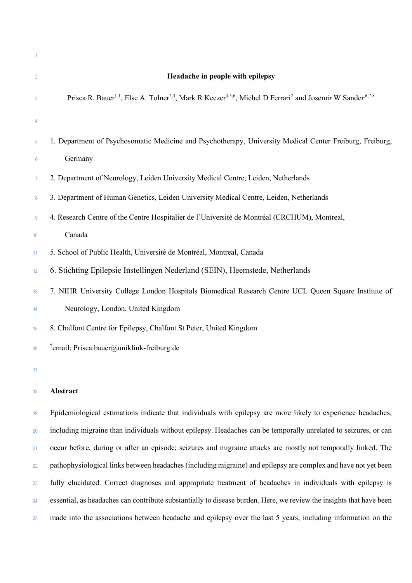| $\overline{2}$  | Headache in people with epilepsy                                                                                                                                      |
|-----------------|-----------------------------------------------------------------------------------------------------------------------------------------------------------------------|
| 3               | Prisca R. Bauer <sup>1,†</sup> , Else A. Tolner <sup>2,3</sup> , Mark R Keezer <sup>4,5,6</sup> , Michel D Ferrari <sup>2</sup> and Josemir W Sander <sup>6,7,8</sup> |
| 4               |                                                                                                                                                                       |
| $\overline{5}$  | 1. Department of Psychosomatic Medicine and Psychotherapy, University Medical Center Freiburg, Freiburg,                                                              |
| $6\phantom{1}6$ | Germany                                                                                                                                                               |
| $\overline{7}$  | 2. Department of Neurology, Leiden University Medical Centre, Leiden, Netherlands                                                                                     |
| $\bf 8$         | 3. Department of Human Genetics, Leiden University Medical Centre, Leiden, Netherlands                                                                                |
| 9               | 4. Research Centre of the Centre Hospitalier de l'Université de Montréal (CRCHUM), Montreal,                                                                          |
| 10              | Canada                                                                                                                                                                |
| 11              | 5. School of Public Health, Université de Montréal, Montreal, Canada                                                                                                  |
| 12              | 6. Stichting Epilepsie Instellingen Nederland (SEIN), Heemstede, Netherlands                                                                                          |
| 13              | 7. NIHR University College London Hospitals Biomedical Research Centre UCL Queen Square Institute of                                                                  |
| 14              | Neurology, London, United Kingdom                                                                                                                                     |
| 15              | 8. Chalfont Centre for Epilepsy, Chalfont St Peter, United Kingdom                                                                                                    |
| 16              | <sup>†</sup> email: Prisca.bauer@uniklink-freiburg.de                                                                                                                 |
| 17              |                                                                                                                                                                       |
| 18              | Abstract                                                                                                                                                              |
| $19$            | Epidemiological estimations indicate that individuals with epilepsy are more likely to experience headaches,                                                          |
| $20\,$          | including migraine than individuals without epilepsy. Headaches can be temporally unrelated to seizures, or can                                                       |
| 21              | occur before, during or after an episode; seizures and migraine attacks are mostly not temporally linked. The                                                         |
| 22              | pathophysiological links between headaches (including migraine) and epilepsy are complex and have not yet been                                                        |
| 23              | fully elucidated. Correct diagnoses and appropriate treatment of headaches in individuals with epilepsy is                                                            |

essential, as headaches can contribute substantially to disease burden. Here, we review the insights that have been

made into the associations between headache and epilepsy over the last 5 years, including information on the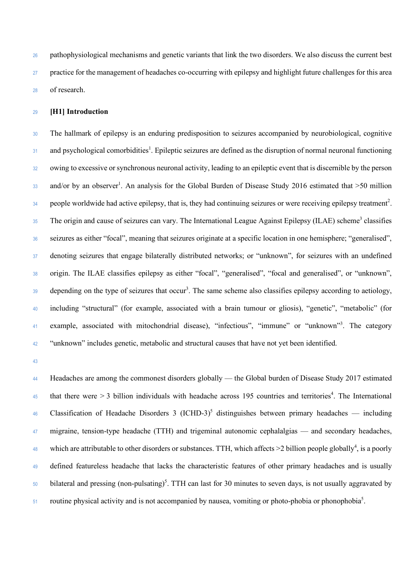pathophysiological mechanisms and genetic variants that link the two disorders. We also discuss the current best practice for the management of headaches co-occurring with epilepsy and highlight future challenges for this area of research.

# **[H1] Introduction**

 The hallmark of epilepsy is an enduring predisposition to seizures accompanied by neurobiological, cognitive and psychological comorbidities<sup>1</sup>. Epileptic seizures are defined as the disruption of normal neuronal functioning owing to excessive or synchronous neuronal activity, leading to an epileptic event that is discernible by the person and/or by an observer<sup>1</sup>. An analysis for the Global Burden of Disease Study 2016 estimated that >50 million  $_{34}$  people worldwide had active epilepsy, that is, they had continuing seizures or were receiving epilepsy treatment<sup>2</sup>. <sup>35</sup> The origin and cause of seizures can vary. The International League Against Epilepsy (ILAE) scheme<sup>3</sup> classifies seizures as either "focal", meaning that seizures originate at a specific location in one hemisphere; "generalised", denoting seizures that engage bilaterally distributed networks; or "unknown", for seizures with an undefined origin. The ILAE classifies epilepsy as either "focal", "generalised", "focal and generalised", or "unknown", depending on the type of seizures that occur<sup>3</sup>. The same scheme also classifies epilepsy according to aetiology, including "structural" (for example, associated with a brain tumour or gliosis), "genetic", "metabolic" (for 41 example, associated with mitochondrial disease), "infectious", "immune" or "unknown"<sup>3</sup>. The category "unknown" includes genetic, metabolic and structural causes that have not yet been identified.

44 Headaches are among the commonest disorders globally — the Global burden of Disease Study 2017 estimated that there were  $> 3$  billion individuals with headache across 195 countries and territories<sup>4</sup>. The International Classification of Headache Disorders 3 (ICHD-3)<sup>5</sup> distinguishes between primary headaches — including 47 migraine, tension-type headache (TTH) and trigeminal autonomic cephalalgias — and secondary headaches, which are attributable to other disorders or substances. TTH, which affects  $\geq 2$  billion people globally<sup>4</sup>, is a poorly 49 defined featureless headache that lacks the characteristic features of other primary headaches and is usually bilateral and pressing (non-pulsating)<sup>5</sup>. TTH can last for 30 minutes to seven days, is not usually aggravated by routine physical activity and is not accompanied by nausea, vomiting or photo-phobia or phonophobia<sup>5</sup>.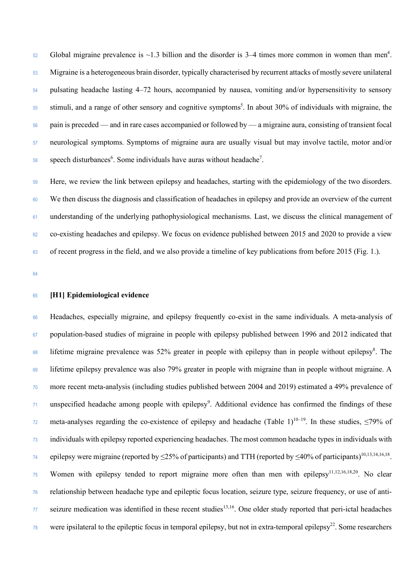62 Global migraine prevalence is  $\sim$ 1.3 billion and the disorder is 3–4 times more common in women than men<sup>4</sup>. Migraine is a heterogeneous brain disorder, typically characterised by recurrent attacks of mostly severe unilateral pulsating headache lasting 4–72 hours, accompanied by nausea, vomiting and/or hypersensitivity to sensory  $\frac{1}{55}$  stimuli, and a range of other sensory and cognitive symptoms<sup>5</sup>. In about 30% of individuals with migraine, the pain is preceded — and in rare cases accompanied or followed by — a migraine aura, consisting of transient focal neurological symptoms. Symptoms of migraine aura are usually visual but may involve tactile, motor and/or speech disturbances<sup>6</sup>. Some individuals have auras without headache<sup>7</sup>.

 Here, we review the link between epilepsy and headaches, starting with the epidemiology of the two disorders. We then discuss the diagnosis and classification of headaches in epilepsy and provide an overview of the current understanding of the underlying pathophysiological mechanisms. Last, we discuss the clinical management of co-existing headaches and epilepsy. We focus on evidence published between 2015 and 2020 to provide a view of recent progress in the field, and we also provide a timeline of key publications from before 2015 (Fig. 1.).

#### **[H1] Epidemiological evidence**

 Headaches, especially migraine, and epilepsy frequently co-exist in the same individuals. A meta-analysis of population-based studies of migraine in people with epilepsy published between 1996 and 2012 indicated that lifetime migraine prevalence was  $52\%$  greater in people with epilepsy than in people without epilepsy<sup>8</sup>. The lifetime epilepsy prevalence was also 79% greater in people with migraine than in people without migraine. A more recent meta-analysis (including studies published between 2004 and 2019) estimated a 49% prevalence of  $\frac{71}{10}$  unspecified headache among people with epilepsy<sup>9</sup>. Additional evidence has confirmed the findings of these meta-analyses regarding the co-existence of epilepsy and headache (Table 1)<sup>10–19</sup>. In these studies,  $\leq 79\%$  of individuals with epilepsy reported experiencing headaches. The most common headache types in individuals with epilepsy were migraine (reported by  $\leq$ 25% of participants) and TTH (reported by  $\leq$ 40% of participants)<sup>10,13,14,16,18</sup>. 75 Women with epilepsy tended to report migraine more often than men with epilepsy<sup>11,12,16,18,20</sup>. No clear relationship between headache type and epileptic focus location, seizure type, seizure frequency, or use of anti- $\frac{1}{77}$  seizure medication was identified in these recent studies<sup>13,16</sup>. One older study reported that peri-ictal headaches were ipsilateral to the epileptic focus in temporal epilepsy, but not in extra-temporal epilepsy<sup>22</sup>. Some researchers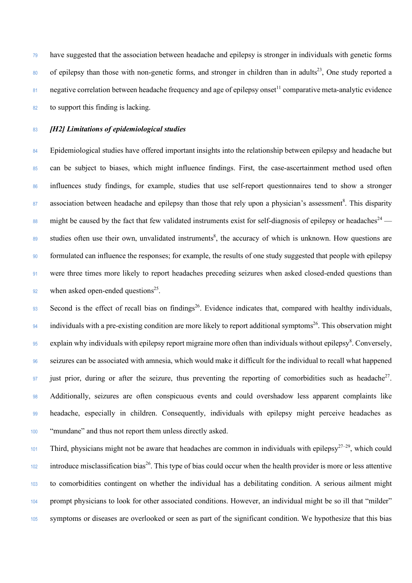<sup>79</sup> have suggested that the association between headache and epilepsy is stronger in individuals with genetic forms  $\delta$  of epilepsy than those with non-genetic forms, and stronger in children than in adults<sup>23</sup>, One study reported a  $\frac{81}{10}$  negative correlation between headache frequency and age of epilepsy onset<sup>11</sup> comparative meta-analytic evidence <sup>82</sup> to support this finding is lacking.

# <sup>83</sup> *[H2] Limitations of epidemiological studies*

<sup>84</sup> Epidemiological studies have offered important insights into the relationship between epilepsy and headache but 85 can be subject to biases, which might influence findings. First, the case-ascertainment method used often <sup>86</sup> influences study findings, for example, studies that use self-report questionnaires tend to show a stronger association between headache and epilepsy than those that rely upon a physician's assessment<sup>8</sup>. This disparity  $\frac{88}{20}$  might be caused by the fact that few validated instruments exist for self-diagnosis of epilepsy or headaches<sup>24</sup> studies often use their own, unvalidated instruments<sup>8</sup>, the accuracy of which is unknown. How questions are <sup>90</sup> formulated can influence the responses; for example, the results of one study suggested that people with epilepsy <sup>91</sup> were three times more likely to report headaches preceding seizures when asked closed-ended questions than  $\mu$ <sup>92</sup> when asked open-ended questions<sup>25</sup>.

Second is the effect of recall bias on findings<sup>26</sup>. Evidence indicates that, compared with healthy individuals,  $\frac{94}{2}$  individuals with a pre-existing condition are more likely to report additional symptoms<sup>26</sup>. This observation might explain why individuals with epilepsy report migraine more often than individuals without epilepsy<sup>8</sup>. Conversely, <sup>96</sup> seizures can be associated with amnesia, which would make it difficult for the individual to recall what happened just prior, during or after the seizure, thus preventing the reporting of comorbidities such as headache<sup>27</sup>. <sup>98</sup> Additionally, seizures are often conspicuous events and could overshadow less apparent complaints like <sup>99</sup> headache, especially in children. Consequently, individuals with epilepsy might perceive headaches as <sup>100</sup> "mundane" and thus not report them unless directly asked.

Third, physicians might not be aware that headaches are common in individuals with epilepsy<sup>27–29</sup>, which could  $\frac{102}{2}$  introduce misclassification bias<sup>26</sup>. This type of bias could occur when the health provider is more or less attentive <sup>103</sup> to comorbidities contingent on whether the individual has a debilitating condition. A serious ailment might <sup>104</sup> prompt physicians to look for other associated conditions. However, an individual might be so ill that "milder" <sup>105</sup> symptoms or diseases are overlooked or seen as part of the significant condition. We hypothesize that this bias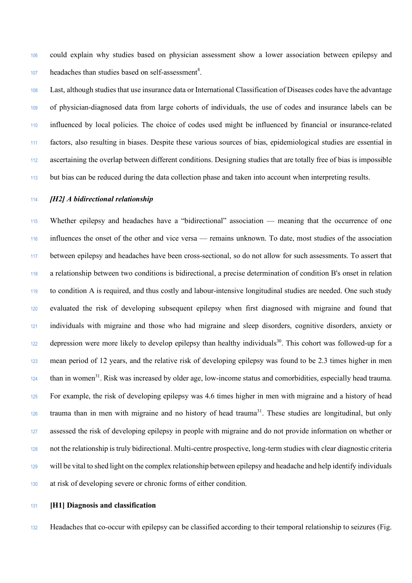could explain why studies based on physician assessment show a lower association between epilepsy and  $h$ eadaches than studies based on self-assessment<sup>8</sup>.

 Last, although studies that use insurance data or International Classification of Diseases codes have the advantage of physician-diagnosed data from large cohorts of individuals, the use of codes and insurance labels can be influenced by local policies. The choice of codes used might be influenced by financial or insurance-related factors, also resulting in biases. Despite these various sources of bias, epidemiological studies are essential in ascertaining the overlap between different conditions. Designing studies that are totally free of bias is impossible but bias can be reduced during the data collection phase and taken into account when interpreting results.

# *[H2] A bidirectional relationship*

 Whether epilepsy and headaches have a "bidirectional" association — meaning that the occurrence of one influences the onset of the other and vice versa — remains unknown. To date, most studies of the association between epilepsy and headaches have been cross-sectional, so do not allow for such assessments. To assert that a relationship between two conditions is bidirectional, a precise determination of condition B's onset in relation to condition A is required, and thus costly and labour-intensive longitudinal studies are needed. One such study evaluated the risk of developing subsequent epilepsy when first diagnosed with migraine and found that individuals with migraine and those who had migraine and sleep disorders, cognitive disorders, anxiety or depression were more likely to develop epilepsy than healthy individuals<sup>30</sup>. This cohort was followed-up for a mean period of 12 years, and the relative risk of developing epilepsy was found to be 2.3 times higher in men than in women<sup>31</sup>. Risk was increased by older age, low-income status and comorbidities, especially head trauma. For example, the risk of developing epilepsy was 4.6 times higher in men with migraine and a history of head trauma than in men with migraine and no history of head trauma<sup>31</sup>. These studies are longitudinal, but only assessed the risk of developing epilepsy in people with migraine and do not provide information on whether or not the relationship is truly bidirectional. Multi-centre prospective, long-term studies with clear diagnostic criteria will be vital to shed light on the complex relationship between epilepsy and headache and help identify individuals at risk of developing severe or chronic forms of either condition.

**[H1] Diagnosis and classification**

Headaches that co-occur with epilepsy can be classified according to their temporal relationship to seizures (Fig.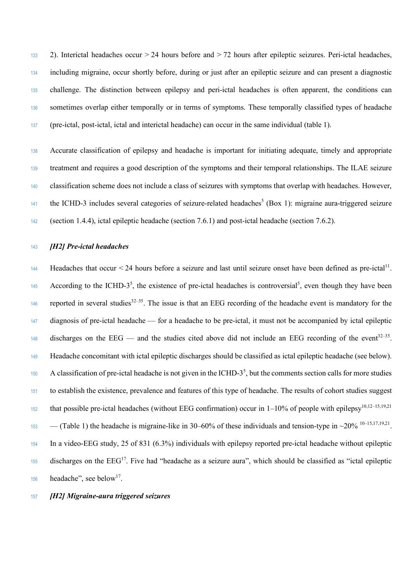2). Interictal headaches occur > 24 hours before and > 72 hours after epileptic seizures. Peri-ictal headaches, including migraine, occur shortly before, during or just after an epileptic seizure and can present a diagnostic challenge. The distinction between epilepsy and peri-ictal headaches is often apparent, the conditions can sometimes overlap either temporally or in terms of symptoms. These temporally classified types of headache (pre-ictal, post-ictal, ictal and interictal headache) can occur in the same individual (table 1).

 Accurate classification of epilepsy and headache is important for initiating adequate, timely and appropriate treatment and requires a good description of the symptoms and their temporal relationships. The ILAE seizure classification scheme does not include a class of seizures with symptoms that overlap with headaches. However, the ICHD-3 includes several categories of seizure-related headaches<sup>5</sup> (Box 1): migraine aura-triggered seizure (section 1.4.4), ictal epileptic headache (section 7.6.1) and post-ictal headache (section 7.6.2).

# <sup>143</sup> *[H2] Pre-ictal headaches*

Headaches that occur  $\leq$  24 hours before a seizure and last until seizure onset have been defined as pre-ictal<sup>11</sup>. According to the ICHD-3<sup>5</sup>, the existence of pre-ictal headaches is controversial<sup>5</sup>, even though they have been reported in several studies<sup>32–35</sup>. The issue is that an EEG recording of the headache event is mandatory for the <sup>147</sup> diagnosis of pre-ictal headache — for a headache to be pre-ictal, it must not be accompanied by ictal epileptic discharges on the EEG — and the studies cited above did not include an EEG recording of the event<sup>32–35</sup>. <sup>149</sup> Headache concomitant with ictal epileptic discharges should be classified as ictal epileptic headache (see below). A classification of pre-ictal headache is not given in the ICHD- $3<sup>5</sup>$ , but the comments section calls for more studies <sup>151</sup> to establish the existence, prevalence and features of this type of headache. The results of cohort studies suggest that possible pre-ictal headaches (without EEG confirmation) occur in  $1-10\%$  of people with epilepsy<sup>10,12–15,19,21</sup>  $\sim$  (Table 1) the headache is migraine-like in 30–60% of these individuals and tension-type in ~20% <sup>10–15,17,19,21</sup>. <sup>154</sup> In a video-EEG study, 25 of 831 (6.3%) individuals with epilepsy reported pre-ictal headache without epileptic discharges on the  $EEG<sup>17</sup>$ . Five had "headache as a seizure aura", which should be classified as "ictal epileptic 156 headache", see below<sup>17</sup>.

<sup>157</sup> *[H2] Migraine-aura triggered seizures*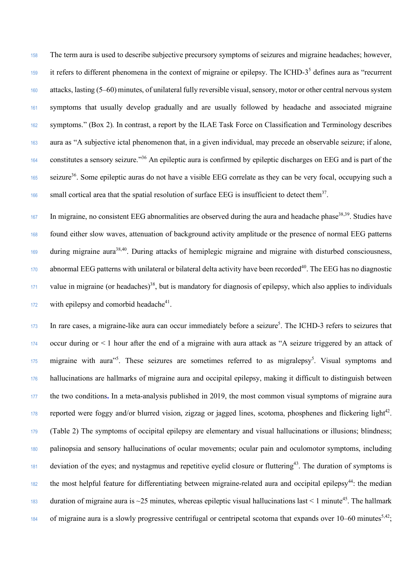The term aura is used to describe subjective precursory symptoms of seizures and migraine headaches; however, it refers to different phenomena in the context of migraine or epilepsy. The ICHD- $3<sup>5</sup>$  defines aura as "recurrent" attacks, lasting (5–60) minutes, of unilateral fully reversible visual, sensory, motor or other central nervous system symptoms that usually develop gradually and are usually followed by headache and associated migraine symptoms." (Box 2). In contrast, a report by the ILAE Task Force on Classification and Terminology describes aura as "A subjective ictal phenomenon that, in a given individual, may precede an observable seizure; if alone, constitutes a sensory seizure."<sup>36</sup> An epileptic aura is confirmed by epileptic discharges on EEG and is part of the seizure<sup>36</sup>. Some epileptic auras do not have a visible EEG correlate as they can be very focal, occupying such a small cortical area that the spatial resolution of surface EEG is insufficient to detect them<sup>37</sup>.

 In migraine, no consistent EEG abnormalities are observed during the aura and headache phase<sup>38,39</sup>. Studies have found either slow waves, attenuation of background activity amplitude or the presence of normal EEG patterns during migraine aura<sup>38,40</sup>. During attacks of hemiplegic migraine and migraine with disturbed consciousness, abnormal EEG patterns with unilateral or bilateral delta activity have been recorded<sup>40</sup>. The EEG has no diagnostic value in migraine (or headaches)<sup>38</sup>, but is mandatory for diagnosis of epilepsy, which also applies to individuals with epilepsy and comorbid headache<sup>41</sup>.

In rare cases, a migraine-like aura can occur immediately before a seizure<sup>5</sup>. The ICHD-3 refers to seizures that <sup>174</sup> occur during or < 1 hour after the end of a migraine with aura attack as "A seizure triggered by an attack of 175 migraine with aura<sup>75</sup>. These seizures are sometimes referred to as migralepsy<sup>5</sup>. Visual symptoms and <sup>176</sup> hallucinations are hallmarks of migraine aura and occipital epilepsy, making it difficult to distinguish between <sup>177</sup> the two conditions**.** In a meta-analysis published in 2019, the most common visual symptoms of migraine aura reported were foggy and/or blurred vision, zigzag or jagged lines, scotoma, phosphenes and flickering light<sup>42</sup>. <sup>179</sup> (Table 2) The symptoms of occipital epilepsy are elementary and visual hallucinations or illusions; blindness; <sup>180</sup> palinopsia and sensory hallucinations of ocular movements; ocular pain and oculomotor symptoms, including deviation of the eyes; and nystagmus and repetitive eyelid closure or fluttering<sup>43</sup>. The duration of symptoms is the most helpful feature for differentiating between migraine-related aura and occipital epilepsy<sup>44</sup>: the median duration of migraine aura is ~25 minutes, whereas epileptic visual hallucinations last < 1 minute<sup>45</sup>. The hallmark of migraine aura is a slowly progressive centrifugal or centripetal scotoma that expands over  $10-60$  minutes<sup>5,42</sup>;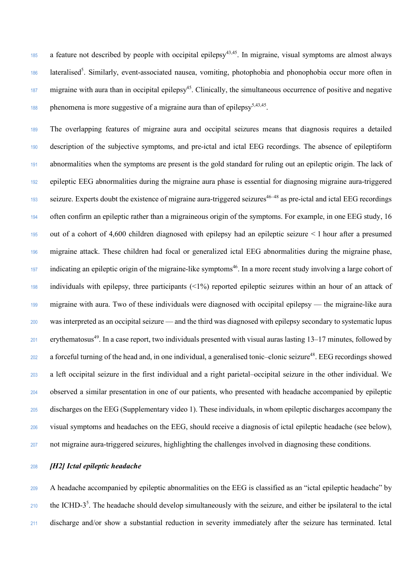a feature not described by people with occipital epilepsy<sup>43,45</sup>. In migraine, visual symptoms are almost always 186 lateralised<sup>5</sup>. Similarly, event-associated nausea, vomiting, photophobia and phonophobia occur more often in  $\frac{187}{187}$  migraine with aura than in occipital epilepsy<sup>45</sup>. Clinically, the simultaneous occurrence of positive and negative  $p_{188}$  bhenomena is more suggestive of a migraine aura than of epilepsy<sup>5,43,45</sup>.

 The overlapping features of migraine aura and occipital seizures means that diagnosis requires a detailed description of the subjective symptoms, and pre-ictal and ictal EEG recordings. The absence of epileptiform abnormalities when the symptoms are present is the gold standard for ruling out an epileptic origin. The lack of epileptic EEG abnormalities during the migraine aura phase is essential for diagnosing migraine aura-triggered seizure. Experts doubt the existence of migraine aura-triggered seizures<sup>46–48</sup> as pre-ictal and ictal EEG recordings often confirm an epileptic rather than a migraineous origin of the symptoms. For example, in one EEG study, 16 out of a cohort of 4,600 children diagnosed with epilepsy had an epileptic seizure < 1 hour after a presumed migraine attack. These children had focal or generalized ictal EEG abnormalities during the migraine phase, indicating an epileptic origin of the migraine-like symptoms<sup>46</sup>. In a more recent study involving a large cohort of individuals with epilepsy, three participants (<1%) reported epileptic seizures within an hour of an attack of migraine with aura. Two of these individuals were diagnosed with occipital epilepsy — the migraine-like aura was interpreted as an occipital seizure — and the third was diagnosed with epilepsy secondary to systematic lupus erythematosus<sup>49</sup>. In a case report, two individuals presented with visual auras lasting  $13-17$  minutes, followed by a forceful turning of the head and, in one individual, a generalised tonic–clonic seizure<sup>48</sup>. EEG recordings showed a left occipital seizure in the first individual and a right parietal–occipital seizure in the other individual. We observed a similar presentation in one of our patients, who presented with headache accompanied by epileptic discharges on the EEG (Supplementary video 1). These individuals, in whom epileptic discharges accompany the visual symptoms and headaches on the EEG, should receive a diagnosis of ictal epileptic headache (see below), not migraine aura-triggered seizures, highlighting the challenges involved in diagnosing these conditions.

*[H2] Ictal epileptic headache*

 A headache accompanied by epileptic abnormalities on the EEG is classified as an "ictal epileptic headache" by the ICHD- $3<sup>5</sup>$ . The headache should develop simultaneously with the seizure, and either be ipsilateral to the ictal discharge and/or show a substantial reduction in severity immediately after the seizure has terminated. Ictal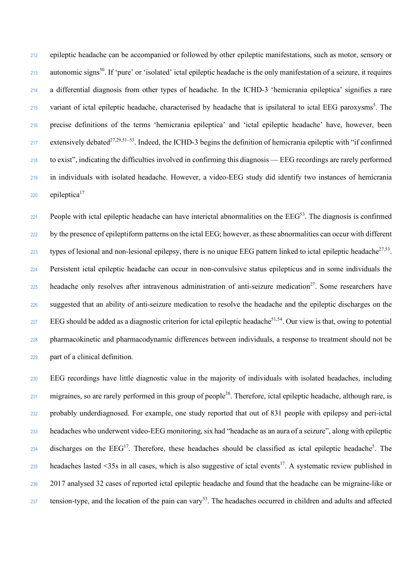epileptic headache can be accompanied or followed by other epileptic manifestations, such as motor, sensory or autonomic signs<sup>50</sup>. If 'pure' or 'isolated' ictal epileptic headache is the only manifestation of a seizure, it requires a differential diagnosis from other types of headache. In the ICHD-3 'hemicrania epileptica' signifies a rare  $\gamma$ <sup>215</sup> variant of ictal epileptic headache, characterised by headache that is ipsilateral to ictal EEG paroxysms<sup>5</sup>. The precise definitions of the terms 'hemicrania epileptica' and 'ictal epileptic headache' have, however, been extensively debated<sup>27,29,51–53</sup>. Indeed, the ICHD-3 begins the definition of hemicrania epileptic with "if confirmed" to exist", indicating the difficulties involved in confirming this diagnosis — EEG recordings are rarely performed in individuals with isolated headache. However, a video-EEG study did identify two instances of hemicrania epileptica<sup>17</sup>

 $P^2$  People with ictal epileptic headache can have interictal abnormalities on the  $EEG^{53}$ . The diagnosis is confirmed by the presence of epileptiform patterns on the ictal EEG; however, as these abnormalities can occur with different types of lesional and non-lesional epilepsy, there is no unique EEG pattern linked to ictal epileptic headache $^{27,53}$ . Persistent ictal epileptic headache can occur in non-convulsive status epilepticus and in some individuals the headache only resolves after intravenous administration of anti-seizure medication<sup>27</sup>. Some researchers have suggested that an ability of anti-seizure medication to resolve the headache and the epileptic discharges on the  $EEG$  should be added as a diagnostic criterion for ictal epileptic headache<sup>51,54</sup>. Our view is that, owing to potential pharmacokinetic and pharmacodynamic differences between individuals, a response to treatment should not be part of a clinical definition.

 EEG recordings have little diagnostic value in the majority of individuals with isolated headaches, including migraines, so are rarely performed in this group of people<sup>38</sup>. Therefore, ictal epileptic headache, although rare, is probably underdiagnosed. For example, one study reported that out of 831 people with epilepsy and peri-ictal headaches who underwent video-EEG monitoring, six had "headache as an aura of a seizure", along with epileptic discharges on the  $EEG<sup>17</sup>$ . Therefore, these headaches should be classified as ictal epileptic headache<sup>5</sup>. The headaches lasted <35s in all cases, which is also suggestive of ictal events<sup>17</sup>. A systematic review published in 2017 analysed 32 cases of reported ictal epileptic headache and found that the headache can be migraine-like or tension-type, and the location of the pain can vary<sup>53</sup>. The headaches occurred in children and adults and affected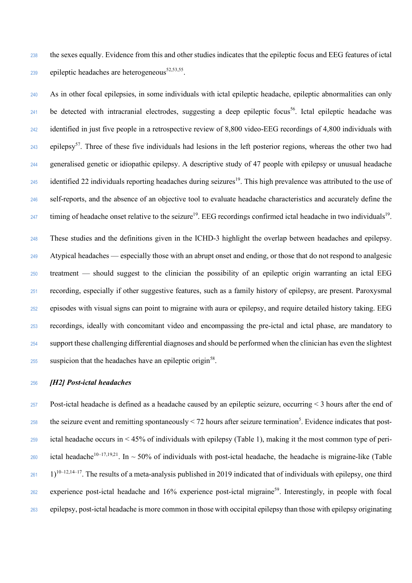the sexes equally. Evidence from this and other studies indicates that the epileptic focus and EEG features of ictal epileptic headaches are heterogeneous<sup>52,53,55</sup>.

 As in other focal epilepsies, in some individuals with ictal epileptic headache, epileptic abnormalities can only <sup>241</sup> be detected with intracranial electrodes, suggesting a deep epileptic focus<sup>56</sup>. Ictal epileptic headache was 242 identified in just five people in a retrospective review of 8,800 video-EEG recordings of 4,800 individuals with epilepsy<sup>57</sup>. Three of these five individuals had lesions in the left posterior regions, whereas the other two had generalised genetic or idiopathic epilepsy. A descriptive study of 47 people with epilepsy or unusual headache identified 22 individuals reporting headaches during seizures<sup>19</sup>. This high prevalence was attributed to the use of self-reports, and the absence of an objective tool to evaluate headache characteristics and accurately define the timing of headache onset relative to the seizure<sup>19</sup>. EEG recordings confirmed ictal headache in two individuals<sup>19</sup>. These studies and the definitions given in the ICHD-3 highlight the overlap between headaches and epilepsy. 249 Atypical headaches — especially those with an abrupt onset and ending, or those that do not respond to analgesic treatment — should suggest to the clinician the possibility of an epileptic origin warranting an ictal EEG recording, especially if other suggestive features, such as a family history of epilepsy, are present. Paroxysmal episodes with visual signs can point to migraine with aura or epilepsy, and require detailed history taking. EEG recordings, ideally with concomitant video and encompassing the pre-ictal and ictal phase, are mandatory to

suspicion that the headaches have an epileptic origin<sup>58</sup>.

# *[H2] Post-ictal headaches*

 Post-ictal headache is defined as a headache caused by an epileptic seizure, occurring < 3 hours after the end of the seizure event and remitting spontaneously  $\leq$  72 hours after seizure termination<sup>5</sup>. Evidence indicates that post- ictal headache occurs in < 45% of individuals with epilepsy (Table 1), making it the most common type of peri-260 ictal headache<sup>10–17,19,21</sup>. In ~ 50% of individuals with post-ictal headache, the headache is migraine-like (Table  $1)^{10-12,14-17}$ . The results of a meta-analysis published in 2019 indicated that of individuals with epilepsy, one third experience post-ictal headache and  $16\%$  experience post-ictal migraine<sup>59</sup>. Interestingly, in people with focal epilepsy, post-ictal headache is more common in those with occipital epilepsy than those with epilepsy originating

support these challenging differential diagnoses and should be performed when the clinician has even the slightest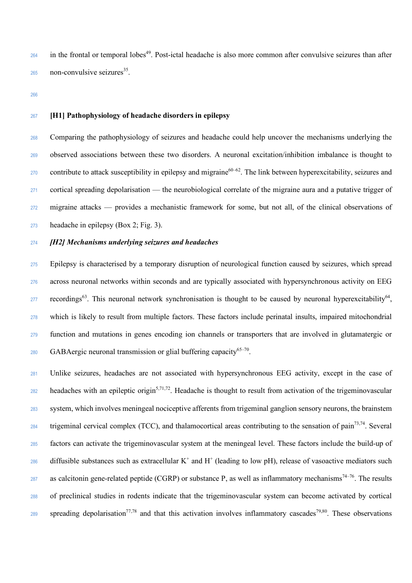in the frontal or temporal lobes<sup>49</sup>. Post-ictal headache is also more common after convulsive seizures than after 265 . non-convulsive seizures .

# **[H1] Pathophysiology of headache disorders in epilepsy**

 Comparing the pathophysiology of seizures and headache could help uncover the mechanisms underlying the observed associations between these two disorders. A neuronal excitation/inhibition imbalance is thought to contribute to attack susceptibility in epilepsy and migraine<sup>60–62</sup>. The link between hyperexcitability, seizures and cortical spreading depolarisation — the neurobiological correlate of the migraine aura and a putative trigger of migraine attacks — provides a mechanistic framework for some, but not all, of the clinical observations of headache in epilepsy (Box 2; Fig. 3).

# *[H2] Mechanisms underlying seizures and headaches*

 Epilepsy is characterised by a temporary disruption of neurological function caused by seizures, which spread across neuronal networks within seconds and are typically associated with hypersynchronous activity on EEG recordings<sup>63</sup>. This neuronal network synchronisation is thought to be caused by neuronal hyperexcitability<sup>64</sup>. which is likely to result from multiple factors. These factors include perinatal insults, impaired mitochondrial function and mutations in genes encoding ion channels or transporters that are involved in glutamatergic or  $GABA$ ergic neuronal transmission or glial buffering capacity<sup>65–70</sup>.

 Unlike seizures, headaches are not associated with hypersynchronous EEG activity, except in the case of headaches with an epileptic origin<sup>5,71,72</sup>. Headache is thought to result from activation of the trigeminovascular system, which involves meningeal nociceptive afferents from trigeminal ganglion sensory neurons, the brainstem trigeminal cervical complex (TCC), and thalamocortical areas contributing to the sensation of pain $73,74$ . Several factors can activate the trigeminovascular system at the meningeal level. These factors include the build-up of diffusible substances such as extracellular  $K^+$  and  $H^+$  (leading to low pH), release of vasoactive mediators such as calcitonin gene-related peptide (CGRP) or substance P, as well as inflammatory mechanisms<sup>74–76</sup>. The results of preclinical studies in rodents indicate that the trigeminovascular system can become activated by cortical spreading depolarisation<sup>77,78</sup> and that this activation involves inflammatory cascades<sup>79,80</sup>. These observations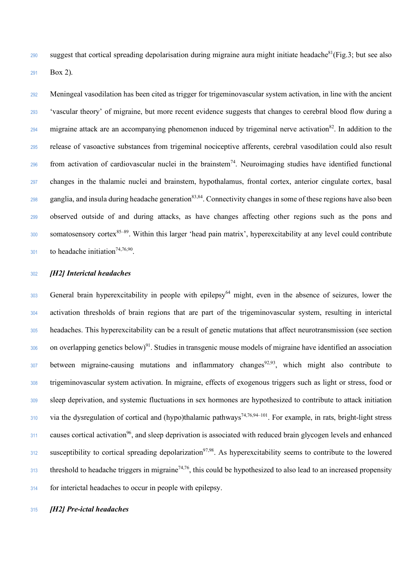suggest that cortical spreading depolarisation during migraine aura might initiate headache (Fig.3; but see also Box 2).

 Meningeal vasodilation has been cited as trigger for trigeminovascular system activation, in line with the ancient 'vascular theory' of migraine, but more recent evidence suggests that changes to cerebral blood flow during a migraine attack are an accompanying phenomenon induced by trigeminal nerve activation<sup>82</sup>. In addition to the release of vasoactive substances from trigeminal nociceptive afferents, cerebral vasodilation could also result from activation of cardiovascular nuclei in the brainstem<sup>74</sup>. Neuroimaging studies have identified functional changes in the thalamic nuclei and brainstem, hypothalamus, frontal cortex, anterior cingulate cortex, basal ganglia, and insula during headache generation $83,84$ . Connectivity changes in some of these regions have also been observed outside of and during attacks, as have changes affecting other regions such as the pons and somatosensory cortex<sup>85–89</sup>. Within this larger 'head pain matrix', hyperexcitability at any level could contribute  $_{301}$  to headache initiation<sup>74,76,90</sup>.

# *[H2] Interictal headaches*

303 General brain hyperexcitability in people with epilepsy<sup>64</sup> might, even in the absence of seizures, lower the activation thresholds of brain regions that are part of the trigeminovascular system, resulting in interictal headaches. This hyperexcitability can be a result of genetic mutations that affect neurotransmission (see section  $\frac{306}{200}$  on overlapping genetics below)<sup>91</sup>. Studies in transgenic mouse models of migraine have identified an association between migraine-causing mutations and inflammatory changes<sup>92,93</sup>, which might also contribute to trigeminovascular system activation. In migraine, effects of exogenous triggers such as light or stress, food or sleep deprivation, and systemic fluctuations in sex hormones are hypothesized to contribute to attack initiation via the dysregulation of cortical and (hypo)thalamic pathways<sup>74,76,94–101</sup>. For example, in rats, bright-light stress causes cortical activation<sup>96</sup>, and sleep deprivation is associated with reduced brain glycogen levels and enhanced susceptibility to cortical spreading depolarization<sup>97,98</sup>. As hyperexcitability seems to contribute to the lowered threshold to headache triggers in migraine<sup>74,76</sup>, this could be hypothesized to also lead to an increased propensity for interictal headaches to occur in people with epilepsy.

*[H2] Pre-ictal headaches*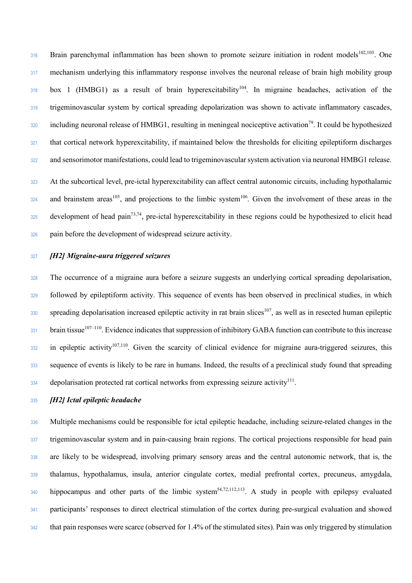Brain parenchymal inflammation has been shown to promote seizure initiation in rodent models<sup>102,103</sup>. One 317 mechanism underlying this inflammatory response involves the neuronal release of brain high mobility group  $_{318}$  box 1 (HMBG1) as a result of brain hyperexcitability<sup>104</sup>. In migraine headaches, activation of the trigeminovascular system by cortical spreading depolarization was shown to activate inflammatory cascades,  $\frac{320}{2}$  including neuronal release of HMBG1, resulting in meningeal nociceptive activation<sup>79</sup>. It could be hypothesized that cortical network hyperexcitability, if maintained below the thresholds for eliciting epileptiform discharges and sensorimotor manifestations, could lead to trigeminovascular system activation via neuronal HMBG1 release. At the subcortical level, pre-ictal hyperexcitability can affect central autonomic circuits, including hypothalamic and brainstem areas<sup>105</sup>, and projections to the limbic system<sup>106</sup>. Given the involvement of these areas in the development of head pain<sup>73,74</sup>, pre-ictal hyperexcitability in these regions could be hypothesized to elicit head pain before the development of widespread seizure activity.

*[H2] Migraine-aura triggered seizures*

 The occurrence of a migraine aura before a seizure suggests an underlying cortical spreading depolarisation, followed by epileptiform activity. This sequence of events has been observed in preclinical studies, in which spreading depolarisation increased epileptic activity in rat brain slices<sup>107</sup>, as well as in resected human epileptic brain tissue<sup>107–110</sup>. Evidence indicates that suppression of inhibitory GABA function can contribute to this increase  $\frac{332}{100}$  in epileptic activity<sup>107,110</sup>. Given the scarcity of clinical evidence for migraine aura-triggered seizures, this sequence of events is likely to be rare in humans. Indeed, the results of a preclinical study found that spreading depolarisation protected rat cortical networks from expressing seizure activity<sup>111</sup>.

#### *[H2] Ictal epileptic headache*

 Multiple mechanisms could be responsible for ictal epileptic headache, including seizure-related changes in the trigeminovascular system and in pain-causing brain regions. The cortical projections responsible for head pain are likely to be widespread, involving primary sensory areas and the central autonomic network, that is, the thalamus, hypothalamus, insula, anterior cingulate cortex, medial prefrontal cortex, precuneus, amygdala, hippocampus and other parts of the limbic system<sup>54,72,112,113</sup>. A study in people with epilepsy evaluated participants' responses to direct electrical stimulation of the cortex during pre-surgical evaluation and showed that pain responses were scarce (observed for 1.4% of the stimulated sites). Pain was only triggered by stimulation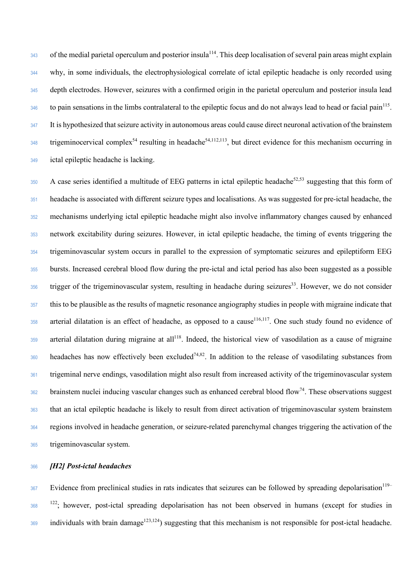of the medial parietal operculum and posterior insula<sup>114</sup>. This deep localisation of several pain areas might explain <sup>344</sup> why, in some individuals, the electrophysiological correlate of ictal epileptic headache is only recorded using <sup>345</sup> depth electrodes. However, seizures with a confirmed origin in the parietal operculum and posterior insula lead to pain sensations in the limbs contralateral to the epileptic focus and do not always lead to head or facial pain $^{115}$ . <sup>347</sup> It is hypothesized that seizure activity in autonomous areas could cause direct neuronal activation of the brainstem trigeminocervical complex<sup>54</sup> resulting in headache<sup>54,112,113</sup>, but direct evidence for this mechanism occurring in <sup>349</sup> ictal epileptic headache is lacking.

A case series identified a multitude of EEG patterns in ictal epileptic headache<sup>52,53</sup> suggesting that this form of headache is associated with different seizure types and localisations. As was suggested for pre-ictal headache, the mechanisms underlying ictal epileptic headache might also involve inflammatory changes caused by enhanced network excitability during seizures. However, in ictal epileptic headache, the timing of events triggering the trigeminovascular system occurs in parallel to the expression of symptomatic seizures and epileptiform EEG bursts. Increased cerebral blood flow during the pre-ictal and ictal period has also been suggested as a possible trigger of the trigeminovascular system, resulting in headache during seizures<sup>33</sup>. However, we do not consider 357 this to be plausible as the results of magnetic resonance angiography studies in people with migraine indicate that arterial dilatation is an effect of headache, as opposed to a cause<sup>116,117</sup>. One such study found no evidence of arterial dilatation during migraine at all<sup>118</sup>. Indeed, the historical view of vasodilation as a cause of migraine  $\frac{360}{100}$  headaches has now effectively been excluded<sup>74,82</sup>. In addition to the release of vasodilating substances from 361 trigeminal nerve endings, vasodilation might also result from increased activity of the trigeminovascular system brainstem nuclei inducing vascular changes such as enhanced cerebral blood flow<sup>74</sup>. These observations suggest that an ictal epileptic headache is likely to result from direct activation of trigeminovascular system brainstem regions involved in headache generation, or seizure-related parenchymal changes triggering the activation of the trigeminovascular system.

<sup>366</sup> *[H2] Post-ictal headaches*

<sup>367</sup> Evidence from preclinical studies in rats indicates that seizures can be followed by spreading depolarisation<sup>119–</sup>  $\frac{122}{368}$   $\frac{122}{368}$ ; however, post-ictal spreading depolarisation has not been observed in humans (except for studies in  $\frac{369}{100}$  individuals with brain damage<sup>123,124</sup>) suggesting that this mechanism is not responsible for post-ictal headache.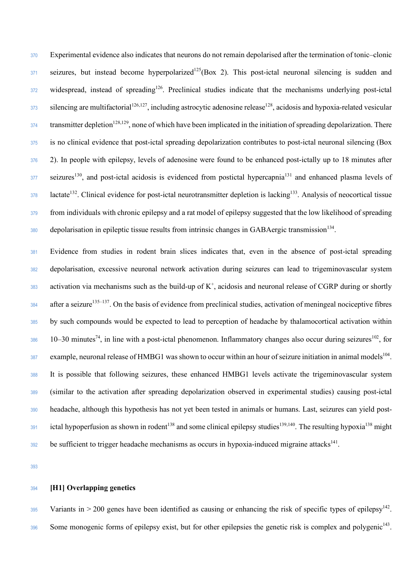Experimental evidence also indicates that neurons do not remain depolarised after the termination of tonic–clonic seizures, but instead become hyperpolarized<sup>125</sup> (Box 2). This post-ictal neuronal silencing is sudden and 372 widespread, instead of spreading<sup>126</sup>. Preclinical studies indicate that the mechanisms underlying post-ictal  $\frac{373}{20}$  silencing are multifactorial<sup>126,127</sup>, including astrocytic adenosine release<sup>128</sup>, acidosis and hypoxia-related vesicular transmitter depletion<sup>128,129</sup>, none of which have been implicated in the initiation of spreading depolarization. There is no clinical evidence that post-ictal spreading depolarization contributes to post-ictal neuronal silencing (Box 2). In people with epilepsy, levels of adenosine were found to be enhanced post-ictally up to 18 minutes after seizures<sup>130</sup>, and post-ictal acidosis is evidenced from postictal hypercapnia<sup>131</sup> and enhanced plasma levels of lactate<sup>132</sup>. Clinical evidence for post-ictal neurotransmitter depletion is lacking<sup>133</sup>. Analysis of neocortical tissue from individuals with chronic epilepsy and a rat model of epilepsy suggested that the low likelihood of spreading depolarisation in epileptic tissue results from intrinsic changes in GABAergic transmission<sup>134</sup>.

 Evidence from studies in rodent brain slices indicates that, even in the absence of post-ictal spreading depolarisation, excessive neuronal network activation during seizures can lead to trigeminovascular system activation via mechanisms such as the build-up of  $K^+$ , acidosis and neuronal release of CGRP during or shortly after a seizure<sup>135–137</sup>. On the basis of evidence from preclinical studies, activation of meningeal nociceptive fibres by such compounds would be expected to lead to perception of headache by thalamocortical activation within  $10-30$  minutes<sup>74</sup>, in line with a post-ictal phenomenon. Inflammatory changes also occur during seizures<sup>102</sup>, for example, neuronal release of HMBG1 was shown to occur within an hour of seizure initiation in animal models<sup>104</sup>. It is possible that following seizures, these enhanced HMBG1 levels activate the trigeminovascular system (similar to the activation after spreading depolarization observed in experimental studies) causing post-ictal headache, although this hypothesis has not yet been tested in animals or humans. Last, seizures can yield post $i$ <sub>391</sub> ictal hypoperfusion as shown in rodent<sup>138</sup> and some clinical epilepsy studies<sup>139,140</sup>. The resulting hypoxia<sup>138</sup> might 392 be sufficient to trigger headache mechanisms as occurs in hypoxia-induced migraine attacks<sup>141</sup>.

#### **[H1] Overlapping genetics**

Variants in  $> 200$  genes have been identified as causing or enhancing the risk of specific types of epilepsy<sup>142</sup>.  $\frac{396}{2}$  Some monogenic forms of epilepsy exist, but for other epilepsies the genetic risk is complex and polygenic<sup>143</sup>.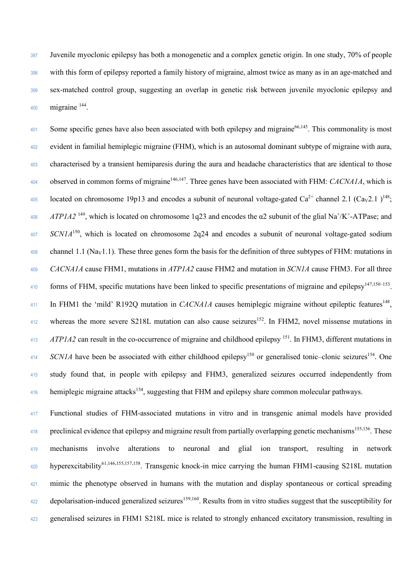Juvenile myoclonic epilepsy has both a monogenetic and a complex genetic origin. In one study, 70% of people with this form of epilepsy reported a family history of migraine, almost twice as many as in an age-matched and sex-matched control group, suggesting an overlap in genetic risk between juvenile myoclonic epilepsy and migraine  $144$ .

 $\frac{401}{400}$  Some specific genes have also been associated with both epilepsy and migraine<sup>66,145</sup>. This commonality is most <sup>402</sup> evident in familial hemiplegic migraine (FHM), which is an autosomal dominant subtype of migraine with aura, <sup>403</sup> characterised by a transient hemiparesis during the aura and headache characteristics that are identical to those observed in common forms of migraine<sup>146,147</sup>. Three genes have been associated with FHM: *CACNA1A*, which is located on chromosome 19p13 and encodes a subunit of neuronal voltage-gated Ca<sup>2+</sup> channel 2.1 (Ca<sub>V</sub>2.1)<sup>148</sup>; *ATP1A2*<sup>149</sup>, which is located on chromosome 1q23 and encodes the  $\alpha$ 2 subunit of the glial Na<sup>+</sup>/K<sup>+</sup>-ATPase; and  $SCNIA<sup>150</sup>$ , which is located on chromosome 2q24 and encodes a subunit of neuronal voltage-gated sodium 408 channel 1.1 (Na<sub>V</sub>1.1). These three genes form the basis for the definition of three subtypes of FHM: mutations in <sup>409</sup> *CACNA1A* cause FHM1, mutations in *ATP1A2* cause FHM2 and mutation in *SCN1A* cause FHM3. For all three forms of FHM, specific mutations have been linked to specific presentations of migraine and epilepsy<sup>147,150–153</sup>. In FHM1 the 'mild' R192Q mutation in *CACNA1A* causes hemiplegic migraine without epileptic features<sup>148</sup>, whereas the more severe S218L mutation can also cause seizures<sup>152</sup>. In FHM2, novel missense mutations in *ATP1A2* can result in the co-occurrence of migraine and childhood epilepsy <sup>151</sup>. In FHM3, different mutations in *SCN1A* have been be associated with either childhood epilepsy<sup>150</sup> or generalised tonic–clonic seizures<sup>154</sup>. One <sup>415</sup> study found that, in people with epilepsy and FHM3, generalized seizures occurred independently from  $\mu_{16}$  hemiplegic migraine attacks<sup>154</sup>, suggesting that FHM and epilepsy share common molecular pathways.

<sup>417</sup> Functional studies of FHM-associated mutations in vitro and in transgenic animal models have provided preclinical evidence that epilepsy and migraine result from partially overlapping genetic mechanisms<sup>155,156</sup>. These <sup>419</sup> mechanisms involve alterations to neuronal and glial ion transport, resulting in network hyperexcitability<sup>61,146,155,157,158</sup>. Transgenic knock-in mice carrying the human FHM1-causing S218L mutation <sup>421</sup> mimic the phenotype observed in humans with the mutation and display spontaneous or cortical spreading  $422$  depolarisation-induced generalized seizures<sup>159,160</sup>. Results from in vitro studies suggest that the susceptibility for <sup>423</sup> generalised seizures in FHM1 S218L mice is related to strongly enhanced excitatory transmission, resulting in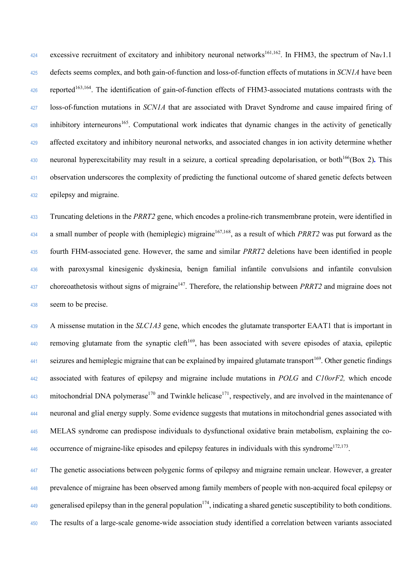excessive recruitment of excitatory and inhibitory neuronal networks<sup>161,162</sup>. In FHM3, the spectrum of Na<sub>V</sub>1.1 <sup>425</sup> defects seems complex, and both gain-of-function and loss-of-function effects of mutations in *SCN1A* have been reported<sup>163,164</sup>. The identification of gain-of-function effects of FHM3-associated mutations contrasts with the <sup>427</sup> loss-of-function mutations in *SCN1A* that are associated with Dravet Syndrome and cause impaired firing of  $\mu_{28}$  inhibitory interneurons<sup>165</sup>. Computational work indicates that dynamic changes in the activity of genetically 429 affected excitatory and inhibitory neuronal networks, and associated changes in ion activity determine whether neuronal hyperexcitability may result in a seizure, a cortical spreading depolarisation, or both<sup>166</sup> (Box 2). This <sup>431</sup> observation underscores the complexity of predicting the functional outcome of shared genetic defects between <sup>432</sup> epilepsy and migraine.

 Truncating deletions in the *PRRT2* gene, which encodes a proline-rich transmembrane protein, were identified in a small number of people with (hemiplegic) migraine<sup>167,168</sup>, as a result of which *PRRT2* was put forward as the fourth FHM-associated gene. However, the same and similar *PRRT2* deletions have been identified in people with paroxysmal kinesigenic dyskinesia, benign familial infantile convulsions and infantile convulsion choreoathetosis without signs of migraine<sup>147</sup>. Therefore, the relationship between *PRRT2* and migraine does not seem to be precise.

<sup>439</sup> A missense mutation in the *SLC1A3* gene, which encodes the glutamate transporter EAAT1 that is important in removing glutamate from the synaptic cleft<sup>169</sup>, has been associated with severe episodes of ataxia, epileptic seizures and hemiplegic migraine that can be explained by impaired glutamate transport<sup>169</sup>. Other genetic findings <sup>442</sup> associated with features of epilepsy and migraine include mutations in *POLG* and *C10orF2,* which encode mitochondrial DNA polymerase<sup>170</sup> and Twinkle helicase<sup>171</sup>, respectively, and are involved in the maintenance of <sup>444</sup> neuronal and glial energy supply. Some evidence suggests that mutations in mitochondrial genes associated with <sup>445</sup> MELAS syndrome can predispose individuals to dysfunctional oxidative brain metabolism, explaining the co- $\mu_{\rm 446}$  occurrence of migraine-like episodes and epilepsy features in individuals with this syndrome<sup>172,173</sup>.

 The genetic associations between polygenic forms of epilepsy and migraine remain unclear. However, a greater prevalence of migraine has been observed among family members of people with non-acquired focal epilepsy or generalised epilepsy than in the general population<sup>174</sup>, indicating a shared genetic susceptibility to both conditions. The results of a large-scale genome-wide association study identified a correlation between variants associated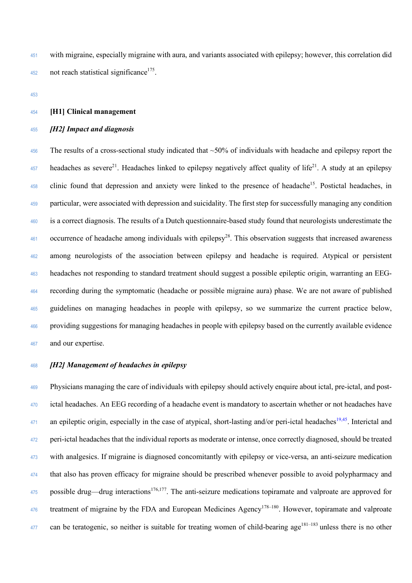with migraine, especially migraine with aura, and variants associated with epilepsy; however, this correlation did not reach statistical significance<sup>175</sup>.

# **[H1] Clinical management**

# *[H2] Impact and diagnosis*

456 The results of a cross-sectional study indicated that  $\sim$ 50% of individuals with headache and epilepsy report the headaches as severe<sup>21</sup>. Headaches linked to epilepsy negatively affect quality of life<sup>21</sup>. A study at an epilepsy 458 clinic found that depression and anxiety were linked to the presence of headache<sup>15</sup>. Postictal headaches, in particular, were associated with depression and suicidality. The first step for successfully managing any condition is a correct diagnosis. The results of a Dutch questionnaire-based study found that neurologists underestimate the occurrence of headache among individuals with epilepsy<sup>28</sup>. This observation suggests that increased awareness among neurologists of the association between epilepsy and headache is required. Atypical or persistent headaches not responding to standard treatment should suggest a possible epileptic origin, warranting an EEG- recording during the symptomatic (headache or possible migraine aura) phase. We are not aware of published guidelines on managing headaches in people with epilepsy, so we summarize the current practice below, providing suggestions for managing headaches in people with epilepsy based on the currently available evidence and our expertise.

#### *[H2] Management of headaches in epilepsy*

 Physicians managing the care of individuals with epilepsy should actively enquire about ictal, pre-ictal, and post- ictal headaches. An EEG recording of a headache event is mandatory to ascertain whether or not headaches have an epileptic origin, especially in the case of atypical, short-lasting and/or peri-ictal headaches<sup>19,45</sup>. Interictal and peri-ictal headaches that the individual reports as moderate or intense, once correctly diagnosed, should be treated with analgesics. If migraine is diagnosed concomitantly with epilepsy or vice-versa, an anti-seizure medication that also has proven efficacy for migraine should be prescribed whenever possible to avoid polypharmacy and possible drug—drug interactions<sup>176,177</sup>. The anti-seizure medications topiramate and valproate are approved for treatment of migraine by the FDA and European Medicines Agency<sup>178–180</sup>. However, topiramate and valproate can be teratogenic, so neither is suitable for treating women of child-bearing age<sup>181–183</sup> unless there is no other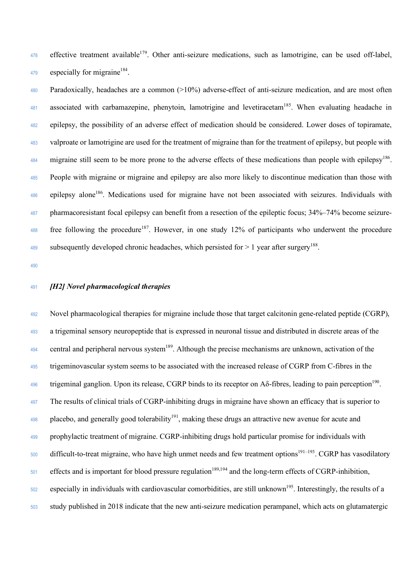478 effective treatment available<sup>179</sup>. Other anti-seizure medications, such as lamotrigine, can be used off-label, especially for migraine<sup>184</sup>.

 Paradoxically, headaches are a common (>10%) adverse-effect of anti-seizure medication, and are most often associated with carbamazepine, phenytoin, lamotrigine and levetiracetam<sup>185</sup>. When evaluating headache in epilepsy, the possibility of an adverse effect of medication should be considered. Lower doses of topiramate, valproate or lamotrigine are used for the treatment of migraine than for the treatment of epilepsy, but people with migraine still seem to be more prone to the adverse effects of these medications than people with epilepsy<sup>186</sup>. People with migraine or migraine and epilepsy are also more likely to discontinue medication than those with 486 epilepsy alone<sup>186</sup>. Medications used for migraine have not been associated with seizures. Individuals with pharmacoresistant focal epilepsy can benefit from a resection of the epileptic focus; 34%–74% become seizure- free following the procedure<sup>187</sup>. However, in one study 12% of participants who underwent the procedure subsequently developed chronic headaches, which persisted for  $> 1$  year after surgery<sup>188</sup>.

#### *[H2] Novel pharmacological therapies*

 Novel pharmacological therapies for migraine include those that target calcitonin gene-related peptide (CGRP), a trigeminal sensory neuropeptide that is expressed in neuronal tissue and distributed in discrete areas of the central and peripheral nervous system<sup>189</sup>. Although the precise mechanisms are unknown, activation of the trigeminovascular system seems to be associated with the increased release of CGRP from C-fibres in the trigeminal ganglion. Upon its release, CGRP binds to its receptor on  $A\delta$ -fibres, leading to pain perception<sup>190</sup>. The results of clinical trials of CGRP-inhibiting drugs in migraine have shown an efficacy that is superior to  $_{498}$  placebo, and generally good tolerability<sup>191</sup>, making these drugs an attractive new avenue for acute and prophylactic treatment of migraine. CGRP-inhibiting drugs hold particular promise for individuals with difficult-to-treat migraine, who have high unmet needs and few treatment options<sup>191–193</sup>. CGRP has vasodilatory  $_{501}$  effects and is important for blood pressure regulation<sup>189,194</sup> and the long-term effects of CGRP-inhibition, especially in individuals with cardiovascular comorbidities, are still unknown<sup>195</sup>. Interestingly, the results of a study published in 2018 indicate that the new anti-seizure medication perampanel, which acts on glutamatergic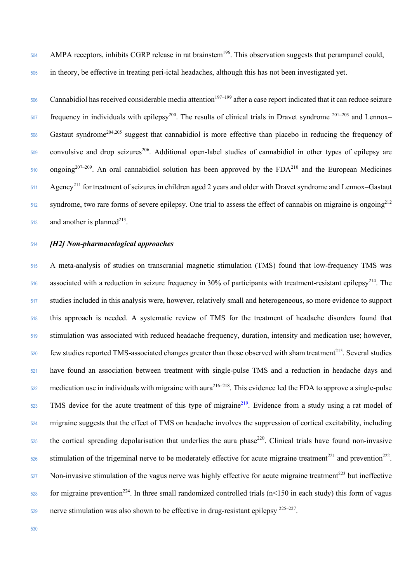- 504 AMPA receptors, inhibits CGRP release in rat brainstem<sup>196</sup>. This observation suggests that perampanel could,
- in theory, be effective in treating peri-ictal headaches, although this has not been investigated yet.

 Cannabidiol has received considerable media attention<sup>197–199</sup> after a case report indicated that it can reduce seizure  $\frac{607}{201}$  frequency in individuals with epilepsy<sup>200</sup>. The results of clinical trials in Dravet syndrome  $201-203$  and Lennox– Gastaut syndrome204,205 suggest that cannabidiol is more effective than placebo in reducing the frequency of  $\frac{1}{209}$  convulsive and drop seizures<sup>206</sup>. Additional open-label studies of cannabidiol in other types of epilepsy are  $_{510}$  ongoing<sup>207–209</sup>. An oral cannabidiol solution has been approved by the FDA<sup>210</sup> and the European Medicines Agency<sup>211</sup> for treatment of seizures in children aged 2 years and older with Dravet syndrome and Lennox–Gastaut syndrome, two rare forms of severe epilepsy. One trial to assess the effect of cannabis on migraine is ongoing<sup>212</sup> and another is planned<sup>213</sup>.

# *[H2] Non-pharmacological approaches*

 A meta-analysis of studies on transcranial magnetic stimulation (TMS) found that low-frequency TMS was associated with a reduction in seizure frequency in 30% of participants with treatment-resistant epilepsy<sup>214</sup>. The studies included in this analysis were, however, relatively small and heterogeneous, so more evidence to support this approach is needed. A systematic review of TMS for the treatment of headache disorders found that stimulation was associated with reduced headache frequency, duration, intensity and medication use; however, few studies reported TMS-associated changes greater than those observed with sham treatment<sup>215</sup>. Several studies have found an association between treatment with single-pulse TMS and a reduction in headache days and medication use in individuals with migraine with aura<sup>216–218</sup>. This evidence led the FDA to approve a single-pulse TMS device for the acute treatment of this type of migraine<sup>219</sup>. Evidence from a study using a rat model of migraine suggests that the effect of TMS on headache involves the suppression of cortical excitability, including the cortical spreading depolarisation that underlies the aura phase<sup>220</sup>. Clinical trials have found non-invasive stimulation of the trigeminal nerve to be moderately effective for acute migraine treatment<sup>221</sup> and prevention<sup>222</sup>. Non-invasive stimulation of the vagus nerve was highly effective for acute migraine treatment<sup>223</sup> but ineffective  $\frac{528}{20}$  for migraine prevention<sup>224</sup>. In three small randomized controlled trials (n<150 in each study) this form of vagus nerve stimulation was also shown to be effective in drug-resistant epilepsy  $225-227$ .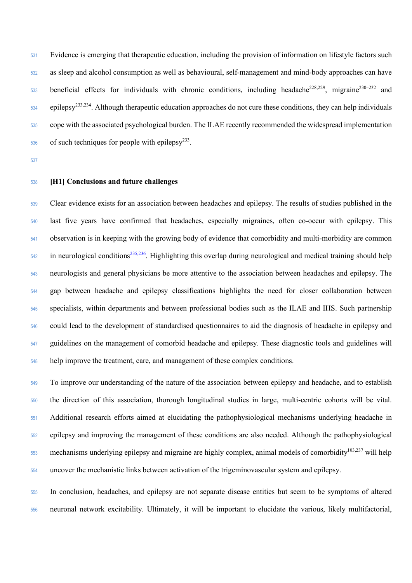Evidence is emerging that therapeutic education, including the provision of information on lifestyle factors such as sleep and alcohol consumption as well as behavioural, self-management and mind-body approaches can have beneficial effects for individuals with chronic conditions, including headache<sup>228,229</sup>, migraine<sup>230–232</sup> and epilepsy<sup>233,234</sup>. Although therapeutic education approaches do not cure these conditions, they can help individuals cope with the associated psychological burden. The ILAE recently recommended the widespread implementation of such techniques for people with epilepsy<sup>233</sup>.

# **[H1] Conclusions and future challenges**

 Clear evidence exists for an association between headaches and epilepsy. The results of studies published in the last five years have confirmed that headaches, especially migraines, often co-occur with epilepsy. This observation is in keeping with the growing body of evidence that comorbidity and multi-morbidity are common  $\frac{542}{2}$  in neurological conditions<sup>235,236</sup>. Highlighting this overlap during neurological and medical training should help neurologists and general physicians be more attentive to the association between headaches and epilepsy. The gap between headache and epilepsy classifications highlights the need for closer collaboration between specialists, within departments and between professional bodies such as the ILAE and IHS. Such partnership could lead to the development of standardised questionnaires to aid the diagnosis of headache in epilepsy and guidelines on the management of comorbid headache and epilepsy. These diagnostic tools and guidelines will help improve the treatment, care, and management of these complex conditions.

 To improve our understanding of the nature of the association between epilepsy and headache, and to establish the direction of this association, thorough longitudinal studies in large, multi-centric cohorts will be vital. Additional research efforts aimed at elucidating the pathophysiological mechanisms underlying headache in epilepsy and improving the management of these conditions are also needed. Although the pathophysiological  $_{553}$  mechanisms underlying epilepsy and migraine are highly complex, animal models of comorbidity<sup>103,237</sup> will help uncover the mechanistic links between activation of the trigeminovascular system and epilepsy.

 In conclusion, headaches, and epilepsy are not separate disease entities but seem to be symptoms of altered neuronal network excitability. Ultimately, it will be important to elucidate the various, likely multifactorial,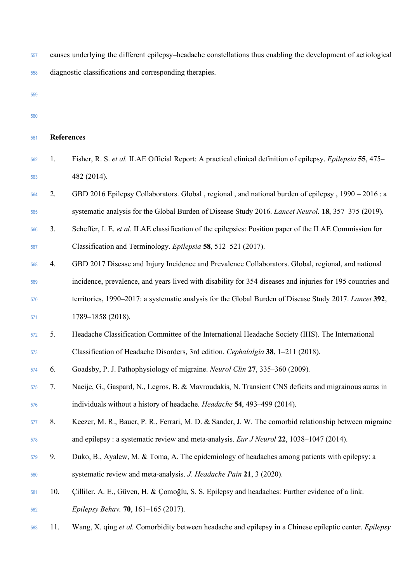- causes underlying the different epilepsy–headache constellations thus enabling the development of aetiological diagnostic classifications and corresponding therapies.
- 
- 
- **References** 1. Fisher, R. S. *et al.* ILAE Official Report: A practical clinical definition of epilepsy. *Epilepsia* **55**, 475– 482 (2014). 2. GBD 2016 Epilepsy Collaborators. Global , regional , and national burden of epilepsy , 1990 – 2016 : a systematic analysis for the Global Burden of Disease Study 2016. *Lancet Neurol.* **18**, 357–375 (2019). 3. Scheffer, I. E. *et al.* ILAE classification of the epilepsies: Position paper of the ILAE Commission for Classification and Terminology. *Epilepsia* **58**, 512–521 (2017). 4. GBD 2017 Disease and Injury Incidence and Prevalence Collaborators. Global, regional, and national incidence, prevalence, and years lived with disability for 354 diseases and injuries for 195 countries and territories, 1990–2017: a systematic analysis for the Global Burden of Disease Study 2017. *Lancet* **392**, 1789–1858 (2018). 5. Headache Classification Committee of the International Headache Society (IHS). The International Classification of Headache Disorders, 3rd edition. *Cephalalgia* **38**, 1–211 (2018). 6. Goadsby, P. J. Pathophysiology of migraine. *Neurol Clin* **27**, 335–360 (2009). 7. Naeije, G., Gaspard, N., Legros, B. & Mavroudakis, N. Transient CNS deficits and migrainous auras in individuals without a history of headache. *Headache* **54**, 493–499 (2014). 8. Keezer, M. R., Bauer, P. R., Ferrari, M. D. & Sander, J. W. The comorbid relationship between migraine and epilepsy : a systematic review and meta-analysis. *Eur J Neurol* **22**, 1038–1047 (2014). 9. Duko, B., Ayalew, M. & Toma, A. The epidemiology of headaches among patients with epilepsy: a systematic review and meta-analysis. *J. Headache Pain* **21**, 3 (2020). 10. Çilliler, A. E., Güven, H. & Çomoğlu, S. S. Epilepsy and headaches: Further evidence of a link. *Epilepsy Behav.* **70**, 161–165 (2017).
- 11. Wang, X. qing *et al.* Comorbidity between headache and epilepsy in a Chinese epileptic center. *Epilepsy*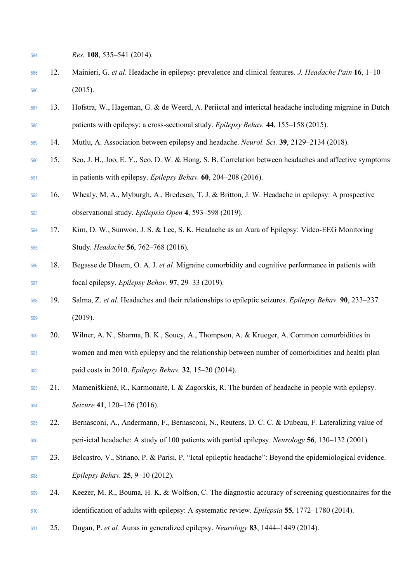- *Res.* **108**, 535–541 (2014).
- 12. Mainieri, G. *et al.* Headache in epilepsy: prevalence and clinical features. *J. Headache Pain* **16**, 1–10 (2015).
- 13. Hofstra, W., Hageman, G. & de Weerd, A. Periictal and interictal headache including migraine in Dutch patients with epilepsy: a cross-sectional study. *Epilepsy Behav.* **44**, 155–158 (2015).
- 14. Mutlu, A. Association between epilepsy and headache. *Neurol. Sci.* **39**, 2129–2134 (2018).
- 15. Seo, J. H., Joo, E. Y., Seo, D. W. & Hong, S. B. Correlation between headaches and affective symptoms in patients with epilepsy. *Epilepsy Behav.* **60**, 204–208 (2016).
- 16. Whealy, M. A., Myburgh, A., Bredesen, T. J. & Britton, J. W. Headache in epilepsy: A prospective observational study. *Epilepsia Open* **4**, 593–598 (2019).
- 17. Kim, D. W., Sunwoo, J. S. & Lee, S. K. Headache as an Aura of Epilepsy: Video-EEG Monitoring Study. *Headache* **56**, 762–768 (2016).
- 18. Begasse de Dhaem, O. A. J. *et al.* Migraine comorbidity and cognitive performance in patients with focal epilepsy. *Epilepsy Behav.* **97**, 29–33 (2019).
- 19. Salma, Z. *et al.* Headaches and their relationships to epileptic seizures. *Epilepsy Behav.* **90**, 233–237 (2019).
- 20. Wilner, A. N., Sharma, B. K., Soucy, A., Thompson, A. & Krueger, A. Common comorbidities in women and men with epilepsy and the relationship between number of comorbidities and health plan paid costs in 2010. *Epilepsy Behav.* **32**, 15–20 (2014).
- 21. Mameniškienė, R., Karmonaitė, I. & Zagorskis, R. The burden of headache in people with epilepsy. *Seizure* **41**, 120–126 (2016).
- 22. Bernasconi, A., Andermann, F., Bernasconi, N., Reutens, D. C. C. & Dubeau, F. Lateralizing value of peri-ictal headache: A study of 100 patients with partial epilepsy. *Neurology* **56**, 130–132 (2001).
- 23. Belcastro, V., Striano, P. & Parisi, P. "Ictal epileptic headache": Beyond the epidemiological evidence. *Epilepsy Behav.* **25**, 9–10 (2012).
- 24. Keezer, M. R., Bouma, H. K. & Wolfson, C. The diagnostic accuracy of screening questionnaires for the identification of adults with epilepsy: A systematic review. *Epilepsia* **55**, 1772–1780 (2014).
- 25. Dugan, P. *et al.* Auras in generalized epilepsy. *Neurology* **83**, 1444–1449 (2014).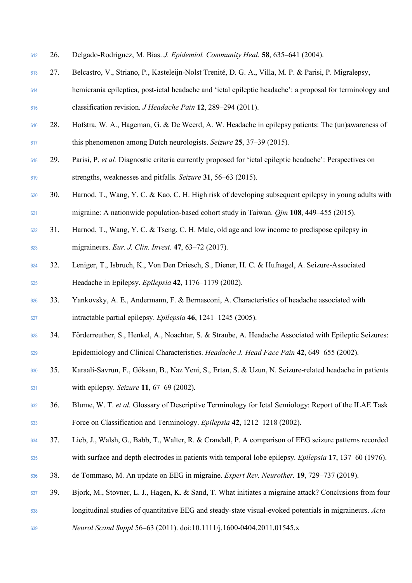- 26. Delgado-Rodriguez, M. Bias. *J. Epidemiol. Community Heal.* **58**, 635–641 (2004).
- 27. Belcastro, V., Striano, P., Kasteleijn-Nolst Trenité, D. G. A., Villa, M. P. & Parisi, P. Migralepsy, hemicrania epileptica, post-ictal headache and 'ictal epileptic headache': a proposal for terminology and classification revision. *J Headache Pain* **12**, 289–294 (2011).
- 28. Hofstra, W. A., Hageman, G. & De Weerd, A. W. Headache in epilepsy patients: The (un)awareness of this phenomenon among Dutch neurologists. *Seizure* **25**, 37–39 (2015).
- 29. Parisi, P. *et al.* Diagnostic criteria currently proposed for 'ictal epileptic headache': Perspectives on strengths, weaknesses and pitfalls. *Seizure* **31**, 56–63 (2015).
- 30. Harnod, T., Wang, Y. C. & Kao, C. H. High risk of developing subsequent epilepsy in young adults with migraine: A nationwide population-based cohort study in Taiwan. *Qjm* **108**, 449–455 (2015).
- 31. Harnod, T., Wang, Y. C. & Tseng, C. H. Male, old age and low income to predispose epilepsy in migraineurs. *Eur. J. Clin. Invest.* **47**, 63–72 (2017).
- 32. Leniger, T., Isbruch, K., Von Den Driesch, S., Diener, H. C. & Hufnagel, A. Seizure-Associated Headache in Epilepsy. *Epilepsia* **42**, 1176–1179 (2002).
- 33. Yankovsky, A. E., Andermann, F. & Bernasconi, A. Characteristics of headache associated with intractable partial epilepsy. *Epilepsia* **46**, 1241–1245 (2005).
- 34. Förderreuther, S., Henkel, A., Noachtar, S. & Straube, A. Headache Associated with Epileptic Seizures: Epidemiology and Clinical Characteristics. *Headache J. Head Face Pain* **42**, 649–655 (2002).
- 35. Karaali-Savrun, F., Göksan, B., Naz Yeni, S., Ertan, S. & Uzun, N. Seizure-related headache in patients with epilepsy. *Seizure* **11**, 67–69 (2002).
- 36. Blume, W. T. *et al.* Glossary of Descriptive Terminology for Ictal Semiology: Report of the ILAE Task Force on Classification and Terminology. *Epilepsia* **42**, 1212–1218 (2002).
- 37. Lieb, J., Walsh, G., Babb, T., Walter, R. & Crandall, P. A comparison of EEG seizure patterns recorded with surface and depth electrodes in patients with temporal lobe epilepsy. *Epilepsia* **17**, 137–60 (1976).
- 38. de Tommaso, M. An update on EEG in migraine. *Expert Rev. Neurother.* **19**, 729–737 (2019).
- 39. Bjork, M., Stovner, L. J., Hagen, K. & Sand, T. What initiates a migraine attack? Conclusions from four
- longitudinal studies of quantitative EEG and steady-state visual-evoked potentials in migraineurs. *Acta*
- *Neurol Scand Suppl* 56–63 (2011). doi:10.1111/j.1600-0404.2011.01545.x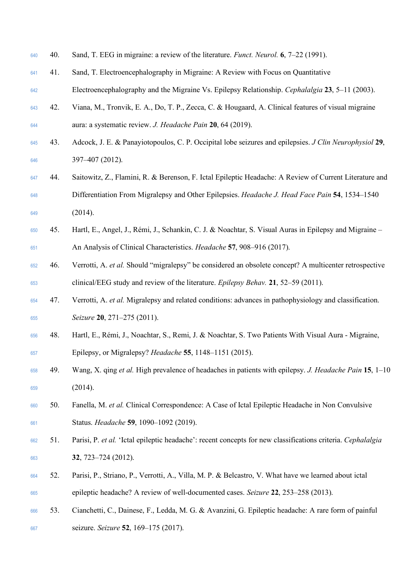| 640 | 40. | Sand, T. EEG in migraine: a review of the literature. <i>Funct. Neurol.</i> 6, 7–22 (1991).                 |
|-----|-----|-------------------------------------------------------------------------------------------------------------|
| 641 | 41. | Sand, T. Electroencephalography in Migraine: A Review with Focus on Quantitative                            |
| 642 |     | Electroencephalography and the Migraine Vs. Epilepsy Relationship. Cephalalgia 23, 5–11 (2003).             |
| 643 | 42. | Viana, M., Tronvik, E. A., Do, T. P., Zecca, C. & Hougaard, A. Clinical features of visual migraine         |
| 644 |     | aura: a systematic review. J. Headache Pain 20, 64 (2019).                                                  |
| 645 | 43. | Adcock, J. E. & Panayiotopoulos, C. P. Occipital lobe seizures and epilepsies. J Clin Neurophysiol 29,      |
| 646 |     | 397-407 (2012).                                                                                             |
| 647 | 44. | Saitowitz, Z., Flamini, R. & Berenson, F. Ictal Epileptic Headache: A Review of Current Literature and      |
| 648 |     | Differentiation From Migralepsy and Other Epilepsies. Headache J. Head Face Pain 54, 1534–1540              |
| 649 |     | (2014).                                                                                                     |
| 650 | 45. | Hartl, E., Angel, J., Rémi, J., Schankin, C. J. & Noachtar, S. Visual Auras in Epilepsy and Migraine –      |
| 651 |     | An Analysis of Clinical Characteristics. Headache 57, 908-916 (2017).                                       |
| 652 | 46. | Verrotti, A. et al. Should "migralepsy" be considered an obsolete concept? A multicenter retrospective      |
| 653 |     | clinical/EEG study and review of the literature. Epilepsy Behav. 21, 52–59 (2011).                          |
| 654 | 47. | Verrotti, A. et al. Migralepsy and related conditions: advances in pathophysiology and classification.      |
| 655 |     | Seizure 20, 271-275 (2011).                                                                                 |
| 656 | 48. | Hartl, E., Rémi, J., Noachtar, S., Remi, J. & Noachtar, S. Two Patients With Visual Aura - Migraine,        |
| 657 |     | Epilepsy, or Migralepsy? Headache 55, 1148–1151 (2015).                                                     |
| 658 | 49. | Wang, X. qing et al. High prevalence of headaches in patients with epilepsy. J. Headache Pain 15, 1–10      |
| 659 |     | (2014).                                                                                                     |
| 660 | 50. | Fanella, M. et al. Clinical Correspondence: A Case of Ictal Epileptic Headache in Non Convulsive            |
| 661 |     | Status. Headache 59, 1090-1092 (2019).                                                                      |
| 662 | 51. | Parisi, P. et al. 'Ictal epileptic headache': recent concepts for new classifications criteria. Cephalalgia |
| 663 |     | 32, 723-724 (2012).                                                                                         |
| 664 | 52. | Parisi, P., Striano, P., Verrotti, A., Villa, M. P. & Belcastro, V. What have we learned about ictal        |
| 665 |     | epileptic headache? A review of well-documented cases. Seizure 22, 253–258 (2013).                          |
| 666 | 53. | Cianchetti, C., Dainese, F., Ledda, M. G. & Avanzini, G. Epileptic headache: A rare form of painful         |
| 667 |     | seizure. Seizure 52, 169-175 (2017).                                                                        |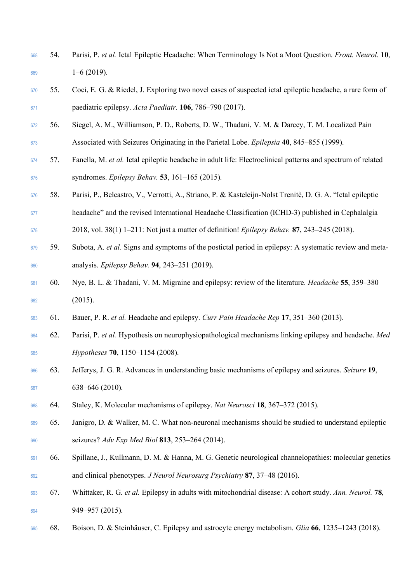- 54. Parisi, P. *et al.* Ictal Epileptic Headache: When Terminology Is Not a Moot Question. *Front. Neurol.* **10**,  $1-6(2019)$ .
- 55. Coci, E. G. & Riedel, J. Exploring two novel cases of suspected ictal epileptic headache, a rare form of paediatric epilepsy. *Acta Paediatr.* **106**, 786–790 (2017).
- 56. Siegel, A. M., Williamson, P. D., Roberts, D. W., Thadani, V. M. & Darcey, T. M. Localized Pain Associated with Seizures Originating in the Parietal Lobe. *Epilepsia* **40**, 845–855 (1999).
- 57. Fanella, M. *et al.* Ictal epileptic headache in adult life: Electroclinical patterns and spectrum of related syndromes. *Epilepsy Behav.* **53**, 161–165 (2015).
- 58. Parisi, P., Belcastro, V., Verrotti, A., Striano, P. & Kasteleijn-Nolst Trenitè, D. G. A. "Ictal epileptic
- headache" and the revised International Headache Classification (ICHD-3) published in Cephalalgia
- 2018, vol. 38(1) 1–211: Not just a matter of definition! *Epilepsy Behav.* **87**, 243–245 (2018).
- 59. Subota, A. *et al.* Signs and symptoms of the postictal period in epilepsy: A systematic review and meta-analysis. *Epilepsy Behav.* **94**, 243–251 (2019).
- 60. Nye, B. L. & Thadani, V. M. Migraine and epilepsy: review of the literature. *Headache* **55**, 359–380 (2015).
- 61. Bauer, P. R. *et al.* Headache and epilepsy. *Curr Pain Headache Rep* **17**, 351–360 (2013).
- 62. Parisi, P. *et al.* Hypothesis on neurophysiopathological mechanisms linking epilepsy and headache. *Med Hypotheses* **70**, 1150–1154 (2008).
- 63. Jefferys, J. G. R. Advances in understanding basic mechanisms of epilepsy and seizures. *Seizure* **19**, 638–646 (2010).
- 64. Staley, K. Molecular mechanisms of epilepsy. *Nat Neurosci* **18**, 367–372 (2015).
- 65. Janigro, D. & Walker, M. C. What non-neuronal mechanisms should be studied to understand epileptic seizures? *Adv Exp Med Biol* **813**, 253–264 (2014).
- 66. Spillane, J., Kullmann, D. M. & Hanna, M. G. Genetic neurological channelopathies: molecular genetics and clinical phenotypes. *J Neurol Neurosurg Psychiatry* **87**, 37–48 (2016).
- 67. Whittaker, R. G. *et al.* Epilepsy in adults with mitochondrial disease: A cohort study. *Ann. Neurol.* **78**, 949–957 (2015).
- 68. Boison, D. & Steinhäuser, C. Epilepsy and astrocyte energy metabolism. *Glia* **66**, 1235–1243 (2018).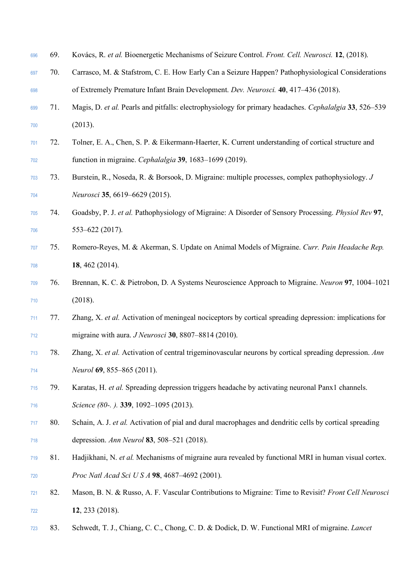| 696 | 69. | Kovács, R. et al. Bioenergetic Mechanisms of Seizure Control. Front. Cell. Neurosci. 12, (2018).        |
|-----|-----|---------------------------------------------------------------------------------------------------------|
| 697 | 70. | Carrasco, M. & Stafstrom, C. E. How Early Can a Seizure Happen? Pathophysiological Considerations       |
| 698 |     | of Extremely Premature Infant Brain Development. Dev. Neurosci. 40, 417–436 (2018).                     |
| 699 | 71. | Magis, D. et al. Pearls and pitfalls: electrophysiology for primary headaches. Cephalalgia 33, 526–539  |
| 700 |     | (2013).                                                                                                 |
| 701 | 72. | Tolner, E. A., Chen, S. P. & Eikermann-Haerter, K. Current understanding of cortical structure and      |
| 702 |     | function in migraine. Cephalalgia 39, 1683-1699 (2019).                                                 |
| 703 | 73. | Burstein, R., Noseda, R. & Borsook, D. Migraine: multiple processes, complex pathophysiology. J         |
| 704 |     | Neurosci 35, 6619-6629 (2015).                                                                          |
| 705 | 74. | Goadsby, P. J. et al. Pathophysiology of Migraine: A Disorder of Sensory Processing. Physiol Rev 97,    |
| 706 |     | 553-622 (2017).                                                                                         |
| 707 | 75. | Romero-Reyes, M. & Akerman, S. Update on Animal Models of Migraine. Curr. Pain Headache Rep.            |
| 708 |     | 18, 462 (2014).                                                                                         |
| 709 | 76. | Brennan, K. C. & Pietrobon, D. A Systems Neuroscience Approach to Migraine. Neuron 97, 1004-1021        |
| 710 |     | (2018).                                                                                                 |
| 711 | 77. | Zhang, X. et al. Activation of meningeal nociceptors by cortical spreading depression: implications for |
| 712 |     | migraine with aura. <i>J Neurosci</i> 30, 8807–8814 (2010).                                             |
| 713 | 78. | Zhang, X. et al. Activation of central trigeminovascular neurons by cortical spreading depression. Ann  |
| 714 |     | Neurol 69, 855–865 (2011).                                                                              |
| 715 | 79. | Karatas, H. et al. Spreading depression triggers headache by activating neuronal Panx1 channels.        |
| 716 |     | Science (80-. ). 339, 1092-1095 (2013).                                                                 |
| 717 | 80. | Schain, A. J. et al. Activation of pial and dural macrophages and dendritic cells by cortical spreading |
| 718 |     | depression. Ann Neurol 83, 508–521 (2018).                                                              |
| 719 | 81. | Hadjikhani, N. et al. Mechanisms of migraine aura revealed by functional MRI in human visual cortex.    |
| 720 |     | Proc Natl Acad Sci U S A 98, 4687-4692 (2001).                                                          |
| 721 | 82. | Mason, B. N. & Russo, A. F. Vascular Contributions to Migraine: Time to Revisit? Front Cell Neurosci    |
| 722 |     | 12, 233 (2018).                                                                                         |
| 723 | 83. | Schwedt, T. J., Chiang, C. C., Chong, C. D. & Dodick, D. W. Functional MRI of migraine. Lancet          |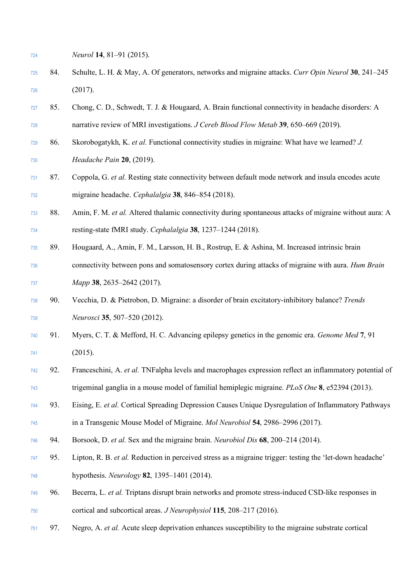- *Neurol* **14**, 81–91 (2015).
- 84. Schulte, L. H. & May, A. Of generators, networks and migraine attacks. *Curr Opin Neurol* **30**, 241–245 (2017).
- 85. Chong, C. D., Schwedt, T. J. & Hougaard, A. Brain functional connectivity in headache disorders: A narrative review of MRI investigations. *J Cereb Blood Flow Metab* **39**, 650–669 (2019).
- 86. Skorobogatykh, K. *et al.* Functional connectivity studies in migraine: What have we learned? *J. Headache Pain* **20**, (2019).
- 87. Coppola, G. *et al.* Resting state connectivity between default mode network and insula encodes acute migraine headache. *Cephalalgia* **38**, 846–854 (2018).
- 88. Amin, F. M. *et al.* Altered thalamic connectivity during spontaneous attacks of migraine without aura: A resting-state fMRI study. *Cephalalgia* **38**, 1237–1244 (2018).
- 89. Hougaard, A., Amin, F. M., Larsson, H. B., Rostrup, E. & Ashina, M. Increased intrinsic brain connectivity between pons and somatosensory cortex during attacks of migraine with aura. *Hum Brain Mapp* **38**, 2635–2642 (2017).
- 90. Vecchia, D. & Pietrobon, D. Migraine: a disorder of brain excitatory-inhibitory balance? *Trends Neurosci* **35**, 507–520 (2012).
- 91. Myers, C. T. & Mefford, H. C. Advancing epilepsy genetics in the genomic era. *Genome Med* **7**, 91 (2015).
- 92. Franceschini, A. *et al.* TNFalpha levels and macrophages expression reflect an inflammatory potential of trigeminal ganglia in a mouse model of familial hemiplegic migraine. *PLoS One* **8**, e52394 (2013).
- 93. Eising, E. *et al.* Cortical Spreading Depression Causes Unique Dysregulation of Inflammatory Pathways in a Transgenic Mouse Model of Migraine. *Mol Neurobiol* **54**, 2986–2996 (2017).
- 94. Borsook, D. *et al.* Sex and the migraine brain. *Neurobiol Dis* **68**, 200–214 (2014).
- 95. Lipton, R. B. *et al.* Reduction in perceived stress as a migraine trigger: testing the 'let-down headache' hypothesis. *Neurology* **82**, 1395–1401 (2014).
- 96. Becerra, L. *et al.* Triptans disrupt brain networks and promote stress-induced CSD-like responses in cortical and subcortical areas. *J Neurophysiol* **115**, 208–217 (2016).
- 97. Negro, A. *et al.* Acute sleep deprivation enhances susceptibility to the migraine substrate cortical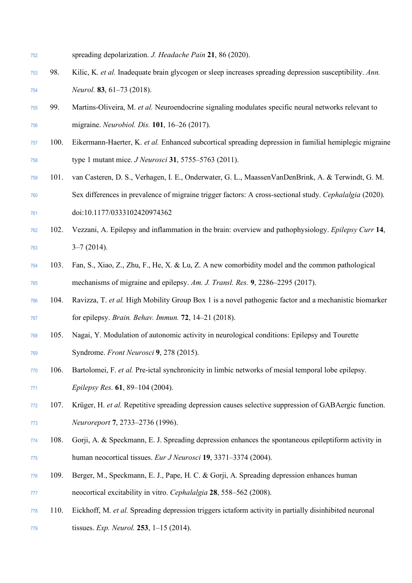- spreading depolarization. *J. Headache Pain* **21**, 86 (2020).
- 98. Kilic, K. *et al.* Inadequate brain glycogen or sleep increases spreading depression susceptibility. *Ann. Neurol.* **83**, 61–73 (2018).
- 99. Martins-Oliveira, M. *et al.* Neuroendocrine signaling modulates specific neural networks relevant to migraine. *Neurobiol. Dis.* **101**, 16–26 (2017).
- 100. Eikermann-Haerter, K. *et al.* Enhanced subcortical spreading depression in familial hemiplegic migraine type 1 mutant mice. *J Neurosci* **31**, 5755–5763 (2011).
- 101. van Casteren, D. S., Verhagen, I. E., Onderwater, G. L., MaassenVanDenBrink, A. & Terwindt, G. M. Sex differences in prevalence of migraine trigger factors: A cross-sectional study. *Cephalalgia* (2020).
- doi:10.1177/0333102420974362
- 102. Vezzani, A. Epilepsy and inflammation in the brain: overview and pathophysiology. *Epilepsy Curr* **14**,  $3-7(2014)$ .
- 103. Fan, S., Xiao, Z., Zhu, F., He, X. & Lu, Z. A new comorbidity model and the common pathological mechanisms of migraine and epilepsy. *Am. J. Transl. Res.* **9**, 2286–2295 (2017).
- 104. Ravizza, T. *et al.* High Mobility Group Box 1 is a novel pathogenic factor and a mechanistic biomarker for epilepsy. *Brain. Behav. Immun.* **72**, 14–21 (2018).
- 105. Nagai, Y. Modulation of autonomic activity in neurological conditions: Epilepsy and Tourette Syndrome. *Front Neurosci* **9**, 278 (2015).
- 106. Bartolomei, F. *et al.* Pre-ictal synchronicity in limbic networks of mesial temporal lobe epilepsy. *Epilepsy Res.* **61**, 89–104 (2004).
- 107. Krüger, H. *et al.* Repetitive spreading depression causes selective suppression of GABAergic function. *Neuroreport* **7**, 2733–2736 (1996).
- 108. Gorji, A. & Speckmann, E. J. Spreading depression enhances the spontaneous epileptiform activity in human neocortical tissues. *Eur J Neurosci* **19**, 3371–3374 (2004).
- 109. Berger, M., Speckmann, E. J., Pape, H. C. & Gorji, A. Spreading depression enhances human neocortical excitability in vitro. *Cephalalgia* **28**, 558–562 (2008).
- 110. Eickhoff, M. *et al.* Spreading depression triggers ictaform activity in partially disinhibited neuronal tissues. *Exp. Neurol.* **253**, 1–15 (2014).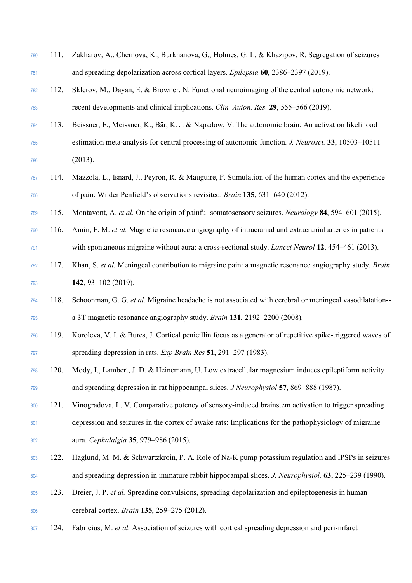| 780 | 111. | Zakharov, A., Chernova, K., Burkhanova, G., Holmes, G. L. & Khazipov, R. Segregation of seizures                  |
|-----|------|-------------------------------------------------------------------------------------------------------------------|
| 781 |      | and spreading depolarization across cortical layers. Epilepsia 60, 2386-2397 (2019).                              |
| 782 | 112. | Sklerov, M., Dayan, E. & Browner, N. Functional neuroimaging of the central autonomic network:                    |
| 783 |      | recent developments and clinical implications. Clin. Auton. Res. 29, 555–566 (2019).                              |
| 784 | 113. | Beissner, F., Meissner, K., Bär, K. J. & Napadow, V. The autonomic brain: An activation likelihood                |
| 785 |      | estimation meta-analysis for central processing of autonomic function. J. Neurosci. 33, 10503-10511               |
| 786 |      | (2013).                                                                                                           |
| 787 | 114. | Mazzola, L., Isnard, J., Peyron, R. & Mauguire, F. Stimulation of the human cortex and the experience             |
| 788 |      | of pain: Wilder Penfield's observations revisited. Brain 135, 631–640 (2012).                                     |
| 789 | 115. | Montavont, A. <i>et al.</i> On the origin of painful somatosensory seizures. <i>Neurology</i> 84, 594–601 (2015). |
| 790 | 116. | Amin, F. M. et al. Magnetic resonance angiography of intracranial and extracranial arteries in patients           |
| 791 |      | with spontaneous migraine without aura: a cross-sectional study. Lancet Neurol 12, 454-461 (2013).                |
| 792 | 117. | Khan, S. et al. Meningeal contribution to migraine pain: a magnetic resonance angiography study. Brain            |
| 793 |      | 142, 93-102 (2019).                                                                                               |
| 794 | 118. | Schoonman, G. G. et al. Migraine headache is not associated with cerebral or meningeal vasodilatation--           |
| 795 |      | a 3T magnetic resonance angiography study. Brain 131, 2192-2200 (2008).                                           |
| 796 | 119. | Koroleva, V. I. & Bures, J. Cortical penicillin focus as a generator of repetitive spike-triggered waves of       |
| 797 |      | spreading depression in rats. Exp Brain Res 51, 291-297 (1983).                                                   |
| 798 | 120. | Mody, I., Lambert, J. D. & Heinemann, U. Low extracellular magnesium induces epileptiform activity                |
| 799 |      | and spreading depression in rat hippocampal slices. <i>J Neurophysiol</i> 57, 869–888 (1987).                     |
| 800 | 121. | Vinogradova, L. V. Comparative potency of sensory-induced brainstem activation to trigger spreading               |
| 801 |      | depression and seizures in the cortex of awake rats: Implications for the pathophysiology of migraine             |
| 802 |      | aura. Cephalalgia 35, 979-986 (2015).                                                                             |
| 803 | 122. | Haglund, M. M. & Schwartzkroin, P. A. Role of Na-K pump potassium regulation and IPSPs in seizures                |
| 804 |      | and spreading depression in immature rabbit hippocampal slices. J. Neurophysiol. 63, 225–239 (1990).              |
| 805 | 123. | Dreier, J. P. et al. Spreading convulsions, spreading depolarization and epileptogenesis in human                 |
| 806 |      | cerebral cortex. Brain 135, 259-275 (2012).                                                                       |
| 807 | 124. | Fabricius, M. et al. Association of seizures with cortical spreading depression and peri-infarct                  |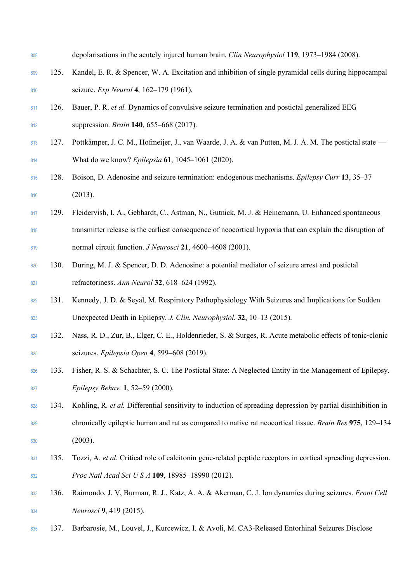| 808 |      | depolarisations in the acutely injured human brain. Clin Neurophysiol 119, 1973–1984 (2008).                  |
|-----|------|---------------------------------------------------------------------------------------------------------------|
| 809 | 125. | Kandel, E. R. & Spencer, W. A. Excitation and inhibition of single pyramidal cells during hippocampal         |
| 810 |      | seizure. Exp Neurol 4, 162-179 (1961).                                                                        |
| 811 | 126. | Bauer, P. R. <i>et al.</i> Dynamics of convulsive seizure termination and postictal generalized EEG           |
| 812 |      | suppression. <i>Brain</i> <b>140</b> , 655–668 (2017).                                                        |
| 813 | 127. | Pottkämper, J. C. M., Hofmeijer, J., van Waarde, J. A. & van Putten, M. J. A. M. The postictal state —        |
| 814 |      | What do we know? <i>Epilepsia</i> <b>61</b> , 1045-1061 (2020).                                               |
| 815 | 128. | Boison, D. Adenosine and seizure termination: endogenous mechanisms. Epilepsy Curr 13, 35–37                  |
| 816 |      | (2013).                                                                                                       |
| 817 | 129. | Fleidervish, I. A., Gebhardt, C., Astman, N., Gutnick, M. J. & Heinemann, U. Enhanced spontaneous             |
| 818 |      | transmitter release is the earliest consequence of neocortical hypoxia that can explain the disruption of     |
| 819 |      | normal circuit function. <i>J Neurosci</i> 21, 4600–4608 (2001).                                              |
| 820 | 130. | During, M. J. & Spencer, D. D. Adenosine: a potential mediator of seizure arrest and postictal                |
| 821 |      | refractoriness. Ann Neurol 32, 618–624 (1992).                                                                |
| 822 | 131. | Kennedy, J. D. & Seyal, M. Respiratory Pathophysiology With Seizures and Implications for Sudden              |
| 823 |      | Unexpected Death in Epilepsy. J. Clin. Neurophysiol. 32, 10–13 (2015).                                        |
| 824 | 132. | Nass, R. D., Zur, B., Elger, C. E., Holdenrieder, S. & Surges, R. Acute metabolic effects of tonic-clonic     |
| 825 |      | seizures. Epilepsia Open 4, 599–608 (2019).                                                                   |
| 826 | 133. | Fisher, R. S. & Schachter, S. C. The Postictal State: A Neglected Entity in the Management of Epilepsy.       |
| 827 |      | Epilepsy Behav. 1, 52–59 (2000).                                                                              |
| 828 | 134. | Kohling, R. et al. Differential sensitivity to induction of spreading depression by partial disinhibition in  |
| 829 |      | chronically epileptic human and rat as compared to native rat neocortical tissue. Brain Res 975, 129–134      |
| 830 |      | (2003).                                                                                                       |
| 831 | 135. | Tozzi, A. et al. Critical role of calcitonin gene-related peptide receptors in cortical spreading depression. |
| 832 |      | Proc Natl Acad Sci U S A 109, 18985-18990 (2012).                                                             |
| 833 | 136. | Raimondo, J. V, Burman, R. J., Katz, A. A. & Akerman, C. J. Ion dynamics during seizures. Front Cell          |
| 834 |      | Neurosci 9, 419 (2015).                                                                                       |
| 835 | 137. | Barbarosie, M., Louvel, J., Kurcewicz, I. & Avoli, M. CA3-Released Entorhinal Seizures Disclose               |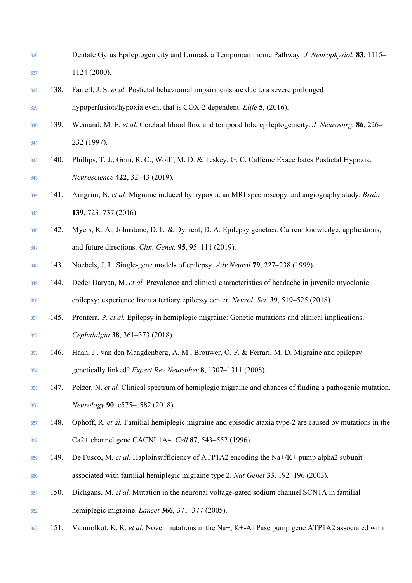- Dentate Gyrus Epileptogenicity and Unmask a Temporoammonic Pathway. *J. Neurophysiol.* **83**, 1115– 1124 (2000).
- 138. Farrell, J. S. *et al.* Postictal behavioural impairments are due to a severe prolonged hypoperfusion/hypoxia event that is COX-2 dependent. *Elife* **5**, (2016).
- 139. Weinand, M. E. *et al.* Cerebral blood flow and temporal lobe epileptogenicity. *J. Neurosurg.* **86**, 226– 232 (1997).
- 842 140. Phillips, T. J., Gom, R. C., Wolff, M. D. & Teskey, G. C. Caffeine Exacerbates Postictal Hypoxia. *Neuroscience* **422**, 32–43 (2019).
- 141. Arngrim, N. *et al.* Migraine induced by hypoxia: an MRI spectroscopy and angiography study. *Brain* **139**, 723–737 (2016).
- 142. Myers, K. A., Johnstone, D. L. & Dyment, D. A. Epilepsy genetics: Current knowledge, applications, and future directions. *Clin. Genet.* **95**, 95–111 (2019).
- 143. Noebels, J. L. Single-gene models of epilepsy. *Adv Neurol* **79**, 227–238 (1999).
- 144. Dedei Daryan, M. *et al.* Prevalence and clinical characteristics of headache in juvenile myoclonic epilepsy: experience from a tertiary epilepsy center. *Neurol. Sci.* **39**, 519–525 (2018).
- 145. Prontera, P. *et al.* Epilepsy in hemiplegic migraine: Genetic mutations and clinical implications. *Cephalalgia* **38**, 361–373 (2018).
- 146. Haan, J., van den Maagdenberg, A. M., Brouwer, O. F. & Ferrari, M. D. Migraine and epilepsy: genetically linked? *Expert Rev Neurother* **8**, 1307–1311 (2008).
- 147. Pelzer, N. *et al.* Clinical spectrum of hemiplegic migraine and chances of finding a pathogenic mutation. *Neurology* **90**, e575–e582 (2018).
- 148. Ophoff, R. *et al.* Familial hemiplegic migraine and episodic ataxia type-2 are caused by mutations in the Ca2+ channel gene CACNL1A4. *Cell* **87**, 543–552 (1996).
- 149. De Fusco, M. *et al.* Haploinsufficiency of ATP1A2 encoding the Na+/K+ pump alpha2 subunit associated with familial hemiplegic migraine type 2. *Nat Genet* **33**, 192–196 (2003).
- 150. Dichgans, M. *et al.* Mutation in the neuronal voltage-gated sodium channel SCN1A in familial hemiplegic migraine. *Lancet* **366**, 371–377 (2005).
- 151. Vanmolkot, K. R. *et al.* Novel mutations in the Na+, K+-ATPase pump gene ATP1A2 associated with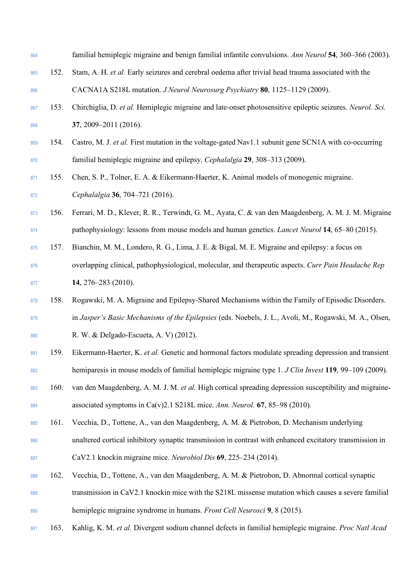| 864 |      | familial hemiplegic migraine and benign familial infantile convulsions. Ann Neurol 54, 360–366 (2003).    |
|-----|------|-----------------------------------------------------------------------------------------------------------|
| 865 | 152. | Stam, A. H. et al. Early seizures and cerebral oedema after trivial head trauma associated with the       |
| 866 |      | CACNA1A S218L mutation. J Neurol Neurosurg Psychiatry 80, 1125-1129 (2009).                               |
| 867 | 153. | Chirchiglia, D. et al. Hemiplegic migraine and late-onset photosensitive epileptic seizures. Neurol. Sci. |
| 868 |      | 37, 2009–2011 (2016).                                                                                     |
| 869 | 154. | Castro, M. J. et al. First mutation in the voltage-gated Nav1.1 subunit gene SCN1A with co-occurring      |
| 870 |      | familial hemiplegic migraine and epilepsy. Cephalalgia 29, 308-313 (2009).                                |
| 871 | 155. | Chen, S. P., Tolner, E. A. & Eikermann-Haerter, K. Animal models of monogenic migraine.                   |
| 872 |      | Cephalalgia 36, 704-721 (2016).                                                                           |
| 873 | 156. | Ferrari, M. D., Klever, R. R., Terwindt, G. M., Ayata, C. & van den Maagdenberg, A. M. J. M. Migraine     |
| 874 |      | pathophysiology: lessons from mouse models and human genetics. <i>Lancet Neurol</i> 14, 65–80 (2015).     |
| 875 | 157. | Bianchin, M. M., Londero, R. G., Lima, J. E. & Bigal, M. E. Migraine and epilepsy: a focus on             |
| 876 |      | overlapping clinical, pathophysiological, molecular, and therapeutic aspects. Curr Pain Headache Rep      |
| 877 |      | 14, 276-283 (2010).                                                                                       |
| 878 | 158. | Rogawski, M. A. Migraine and Epilepsy-Shared Mechanisms within the Family of Episodic Disorders.          |
| 879 |      | in Jasper's Basic Mechanisms of the Epilepsies (eds. Noebels, J. L., Avoli, M., Rogawski, M. A., Olsen,   |
| 880 |      | R. W. & Delgado-Escueta, A. V) (2012).                                                                    |
| 881 | 159. | Eikermann-Haerter, K. et al. Genetic and hormonal factors modulate spreading depression and transient     |
| 882 |      | hemiparesis in mouse models of familial hemiplegic migraine type 1. J Clin Invest 119, 99–109 (2009).     |
| 883 | 160. | van den Maagdenberg, A. M. J. M. et al. High cortical spreading depression susceptibility and migraine-   |
| 884 |      | associated symptoms in Ca(v)2.1 S218L mice. Ann. Neurol. $67$ , 85–98 (2010).                             |
| 885 | 161. | Vecchia, D., Tottene, A., van den Maagdenberg, A. M. & Pietrobon, D. Mechanism underlying                 |
| 886 |      | unaltered cortical inhibitory synaptic transmission in contrast with enhanced excitatory transmission in  |
| 887 |      | CaV2.1 knockin migraine mice. Neurobiol Dis 69, 225–234 (2014).                                           |
| 888 | 162. | Vecchia, D., Tottene, A., van den Maagdenberg, A. M. & Pietrobon, D. Abnormal cortical synaptic           |
| 889 |      | transmission in CaV2.1 knockin mice with the S218L missense mutation which causes a severe familial       |
| 890 |      | hemiplegic migraine syndrome in humans. Front Cell Neurosci 9, 8 (2015).                                  |
| 891 | 163. | Kahlig, K. M. et al. Divergent sodium channel defects in familial hemiplegic migraine. Proc Natl Acad     |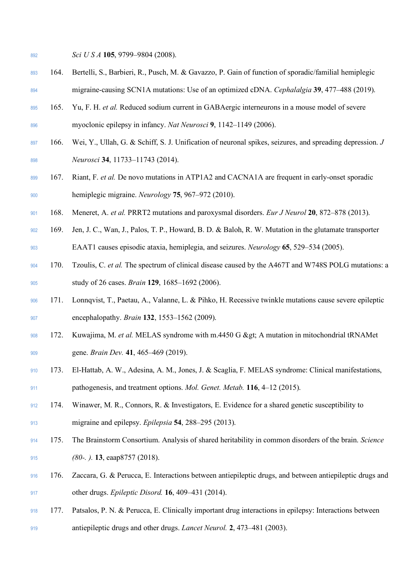- *Sci U S A* **105**, 9799–9804 (2008).
- 164. Bertelli, S., Barbieri, R., Pusch, M. & Gavazzo, P. Gain of function of sporadic/familial hemiplegic migraine-causing SCN1A mutations: Use of an optimized cDNA. *Cephalalgia* **39**, 477–488 (2019).
- 165. Yu, F. H. *et al.* Reduced sodium current in GABAergic interneurons in a mouse model of severe myoclonic epilepsy in infancy. *Nat Neurosci* **9**, 1142–1149 (2006).
- 166. Wei, Y., Ullah, G. & Schiff, S. J. Unification of neuronal spikes, seizures, and spreading depression. *J Neurosci* **34**, 11733–11743 (2014).
- 167. Riant, F. *et al.* De novo mutations in ATP1A2 and CACNA1A are frequent in early-onset sporadic hemiplegic migraine. *Neurology* **75**, 967–972 (2010).
- 168. Meneret, A. *et al.* PRRT2 mutations and paroxysmal disorders. *Eur J Neurol* **20**, 872–878 (2013).
- 169. Jen, J. C., Wan, J., Palos, T. P., Howard, B. D. & Baloh, R. W. Mutation in the glutamate transporter EAAT1 causes episodic ataxia, hemiplegia, and seizures. *Neurology* **65**, 529–534 (2005).
- 170. Tzoulis, C. *et al.* The spectrum of clinical disease caused by the A467T and W748S POLG mutations: a study of 26 cases. *Brain* **129**, 1685–1692 (2006).
- 171. Lonnqvist, T., Paetau, A., Valanne, L. & Pihko, H. Recessive twinkle mutations cause severe epileptic encephalopathy. *Brain* **132**, 1553–1562 (2009).
- 908 172. Kuwajima, M. *et al.* MELAS syndrome with m.4450 G & gt; A mutation in mitochondrial tRNAMet gene. *Brain Dev.* **41**, 465–469 (2019).
- 173. El-Hattab, A. W., Adesina, A. M., Jones, J. & Scaglia, F. MELAS syndrome: Clinical manifestations, pathogenesis, and treatment options. *Mol. Genet. Metab.* **116**, 4–12 (2015).
- 174. Winawer, M. R., Connors, R. & Investigators, E. Evidence for a shared genetic susceptibility to migraine and epilepsy. *Epilepsia* **54**, 288–295 (2013).
- 175. The Brainstorm Consortium. Analysis of shared heritability in common disorders of the brain. *Science (80-. ).* **13**, eaap8757 (2018).
- 176. Zaccara, G. & Perucca, E. Interactions between antiepileptic drugs, and between antiepileptic drugs and other drugs. *Epileptic Disord.* **16**, 409–431 (2014).
- 177. Patsalos, P. N. & Perucca, E. Clinically important drug interactions in epilepsy: Interactions between antiepileptic drugs and other drugs. *Lancet Neurol.* **2**, 473–481 (2003).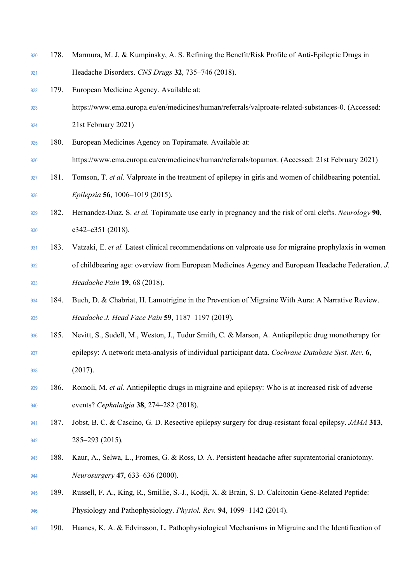- 178. Marmura, M. J. & Kumpinsky, A. S. Refining the Benefit/Risk Profile of Anti-Epileptic Drugs in Headache Disorders. *CNS Drugs* **32**, 735–746 (2018).
- 179. European Medicine Agency. Available at:
- https://www.ema.europa.eu/en/medicines/human/referrals/valproate-related-substances-0. (Accessed: 21st February 2021)
- 180. European Medicines Agency on Topiramate. Available at:
- https://www.ema.europa.eu/en/medicines/human/referrals/topamax. (Accessed: 21st February 2021)
- 181. Tomson, T. *et al.* Valproate in the treatment of epilepsy in girls and women of childbearing potential. *Epilepsia* **56**, 1006–1019 (2015).
- 182. Hernandez-Diaz, S. *et al.* Topiramate use early in pregnancy and the risk of oral clefts. *Neurology* **90**, 930 e342–e351 (2018).
- 183. Vatzaki, E. *et al.* Latest clinical recommendations on valproate use for migraine prophylaxis in women of childbearing age: overview from European Medicines Agency and European Headache Federation. *J. Headache Pain* **19**, 68 (2018).
- 184. Buch, D. & Chabriat, H. Lamotrigine in the Prevention of Migraine With Aura: A Narrative Review. *Headache J. Head Face Pain* **59**, 1187–1197 (2019).
- 185. Nevitt, S., Sudell, M., Weston, J., Tudur Smith, C. & Marson, A. Antiepileptic drug monotherapy for epilepsy: A network meta-analysis of individual participant data. *Cochrane Database Syst. Rev.* **6**, (2017).
- 186. Romoli, M. *et al.* Antiepileptic drugs in migraine and epilepsy: Who is at increased risk of adverse events? *Cephalalgia* **38**, 274–282 (2018).
- 187. Jobst, B. C. & Cascino, G. D. Resective epilepsy surgery for drug-resistant focal epilepsy. *JAMA* **313**, 942 285–293 (2015).
- 188. Kaur, A., Selwa, L., Fromes, G. & Ross, D. A. Persistent headache after supratentorial craniotomy. *Neurosurgery* **47**, 633–636 (2000).
- 189. Russell, F. A., King, R., Smillie, S.-J., Kodji, X. & Brain, S. D. Calcitonin Gene-Related Peptide: Physiology and Pathophysiology. *Physiol. Rev.* **94**, 1099–1142 (2014).
- 190. Haanes, K. A. & Edvinsson, L. Pathophysiological Mechanisms in Migraine and the Identification of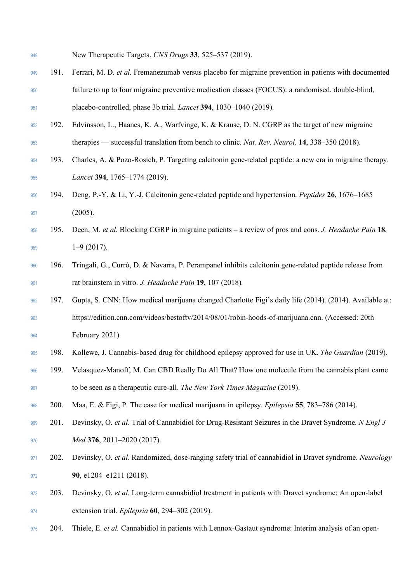| 948 |      | New Therapeutic Targets. CNS Drugs 33, 525–537 (2019).                                                  |
|-----|------|---------------------------------------------------------------------------------------------------------|
| 949 | 191. | Ferrari, M. D. et al. Fremanezumab versus placebo for migraine prevention in patients with documented   |
| 950 |      | failure to up to four migraine preventive medication classes (FOCUS): a randomised, double-blind,       |
| 951 |      | placebo-controlled, phase 3b trial. Lancet 394, 1030-1040 (2019).                                       |
| 952 | 192. | Edvinsson, L., Haanes, K. A., Warfvinge, K. & Krause, D. N. CGRP as the target of new migraine          |
| 953 |      | therapies — successful translation from bench to clinic. Nat. Rev. Neurol. 14, 338-350 (2018).          |
| 954 | 193. | Charles, A. & Pozo-Rosich, P. Targeting calcitonin gene-related peptide: a new era in migraine therapy. |
| 955 |      | Lancet 394, 1765-1774 (2019).                                                                           |
| 956 | 194. | Deng, P.-Y. & Li, Y.-J. Calcitonin gene-related peptide and hypertension. Peptides 26, 1676–1685        |
| 957 |      | (2005).                                                                                                 |
| 958 | 195. | Deen, M. et al. Blocking CGRP in migraine patients – a review of pros and cons. J. Headache Pain 18,    |
| 959 |      | $1 - 9(2017)$ .                                                                                         |
| 960 | 196. | Tringali, G., Currò, D. & Navarra, P. Perampanel inhibits calcitonin gene-related peptide release from  |
| 961 |      | rat brainstem in vitro. J. Headache Pain 19, 107 (2018).                                                |
| 962 | 197. | Gupta, S. CNN: How medical marijuana changed Charlotte Figi's daily life (2014). (2014). Available at:  |
| 963 |      | https://edition.cnn.com/videos/bestoftv/2014/08/01/robin-hoods-of-marijuana.cnn. (Accessed: 20th        |
| 964 |      | February 2021)                                                                                          |
| 965 | 198. | Kollewe, J. Cannabis-based drug for childhood epilepsy approved for use in UK. The Guardian (2019).     |
| 966 | 199. | Velasquez-Manoff, M. Can CBD Really Do All That? How one molecule from the cannabis plant came          |
| 967 |      | to be seen as a therapeutic cure-all. The New York Times Magazine (2019).                               |
| 968 | 200. | Maa, E. & Figi, P. The case for medical marijuana in epilepsy. <i>Epilepsia</i> 55, 783–786 (2014).     |
| 969 | 201. | Devinsky, O. et al. Trial of Cannabidiol for Drug-Resistant Seizures in the Dravet Syndrome. N Engl J   |
| 970 |      | Med 376, 2011-2020 (2017).                                                                              |
| 971 | 202. | Devinsky, O. et al. Randomized, dose-ranging safety trial of cannabidiol in Dravet syndrome. Neurology  |
| 972 |      | 90, e1204-e1211 (2018).                                                                                 |
| 973 | 203. | Devinsky, O. et al. Long-term cannabidiol treatment in patients with Dravet syndrome: An open-label     |
| 974 |      | extension trial. Epilepsia 60, 294-302 (2019).                                                          |
| 975 | 204. | Thiele, E. et al. Cannabidiol in patients with Lennox-Gastaut syndrome: Interim analysis of an open-    |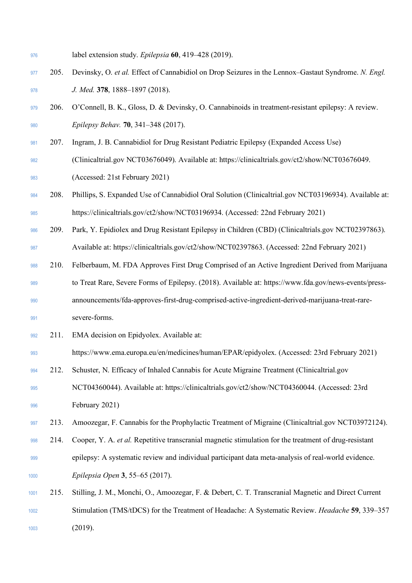- label extension study. *Epilepsia* **60**, 419–428 (2019).
- 205. Devinsky, O. *et al.* Effect of Cannabidiol on Drop Seizures in the Lennox–Gastaut Syndrome. *N. Engl. J. Med.* **378**, 1888–1897 (2018).
- 206. O'Connell, B. K., Gloss, D. & Devinsky, O. Cannabinoids in treatment-resistant epilepsy: A review. *Epilepsy Behav.* **70**, 341–348 (2017).
- 207. Ingram, J. B. Cannabidiol for Drug Resistant Pediatric Epilepsy (Expanded Access Use)
- (Clinicaltrial.gov NCT03676049). Available at: https://clinicaltrials.gov/ct2/show/NCT03676049.

(Accessed: 21st February 2021)

- 208. Phillips, S. Expanded Use of Cannabidiol Oral Solution (Clinicaltrial.gov NCT03196934). Available at: https://clinicaltrials.gov/ct2/show/NCT03196934. (Accessed: 22nd February 2021)
- 209. Park, Y. Epidiolex and Drug Resistant Epilepsy in Children (CBD) (Clinicaltrials.gov NCT02397863).
- Available at: https://clinicaltrials.gov/ct2/show/NCT02397863. (Accessed: 22nd February 2021)
- 210. Felberbaum, M. FDA Approves First Drug Comprised of an Active Ingredient Derived from Marijuana
- to Treat Rare, Severe Forms of Epilepsy. (2018). Available at: https://www.fda.gov/news-events/press-

announcements/fda-approves-first-drug-comprised-active-ingredient-derived-marijuana-treat-rare-

- severe-forms.
- 211. EMA decision on Epidyolex. Available at:
- https://www.ema.europa.eu/en/medicines/human/EPAR/epidyolex. (Accessed: 23rd February 2021)
- 212. Schuster, N. Efficacy of Inhaled Cannabis for Acute Migraine Treatment (Clinicaltrial.gov
- NCT04360044). Available at: https://clinicaltrials.gov/ct2/show/NCT04360044. (Accessed: 23rd February 2021)
- 213. Amoozegar, F. Cannabis for the Prophylactic Treatment of Migraine (Clinicaltrial.gov NCT03972124).
- 214. Cooper, Y. A. *et al.* Repetitive transcranial magnetic stimulation for the treatment of drug-resistant epilepsy: A systematic review and individual participant data meta-analysis of real-world evidence. *Epilepsia Open* **3**, 55–65 (2017).
- 215. Stilling, J. M., Monchi, O., Amoozegar, F. & Debert, C. T. Transcranial Magnetic and Direct Current Stimulation (TMS/tDCS) for the Treatment of Headache: A Systematic Review. *Headache* **59**, 339–357 (2019).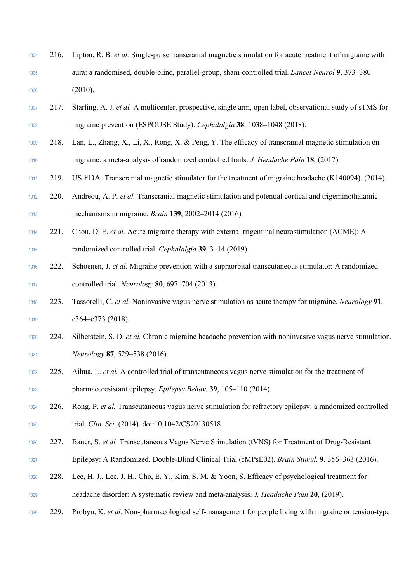- 216. Lipton, R. B. *et al.* Single-pulse transcranial magnetic stimulation for acute treatment of migraine with aura: a randomised, double-blind, parallel-group, sham-controlled trial. *Lancet Neurol* **9**, 373–380 (2010).
- 217. Starling, A. J. *et al.* A multicenter, prospective, single arm, open label, observational study of sTMS for migraine prevention (ESPOUSE Study). *Cephalalgia* **38**, 1038–1048 (2018).
- 218. Lan, L., Zhang, X., Li, X., Rong, X. & Peng, Y. The efficacy of transcranial magnetic stimulation on migraine: a meta-analysis of randomized controlled trails. *J. Headache Pain* **18**, (2017).
- 219. US FDA. Transcranial magnetic stimulator for the treatment of migraine headache (K140094). (2014).
- 220. Andreou, A. P. *et al.* Transcranial magnetic stimulation and potential cortical and trigeminothalamic mechanisms in migraine. *Brain* **139**, 2002–2014 (2016).
- 221. Chou, D. E. *et al.* Acute migraine therapy with external trigeminal neurostimulation (ACME): A randomized controlled trial. *Cephalalgia* **39**, 3–14 (2019).
- 222. Schoenen, J. *et al.* Migraine prevention with a supraorbital transcutaneous stimulator: A randomized controlled trial. *Neurology* **80**, 697–704 (2013).
- 223. Tassorelli, C. *et al.* Noninvasive vagus nerve stimulation as acute therapy for migraine. *Neurology* **91**, **e364–e373 (2018)**.
- 224. Silberstein, S. D. *et al.* Chronic migraine headache prevention with noninvasive vagus nerve stimulation. *Neurology* **87**, 529–538 (2016).
- 225. Aihua, L. *et al.* A controlled trial of transcutaneous vagus nerve stimulation for the treatment of pharmacoresistant epilepsy. *Epilepsy Behav.* **39**, 105–110 (2014).
- 226. Rong, P. *et al.* Transcutaneous vagus nerve stimulation for refractory epilepsy: a randomized controlled trial. *Clin. Sci.* (2014). doi:10.1042/CS20130518
- 227. Bauer, S. *et al.* Transcutaneous Vagus Nerve Stimulation (tVNS) for Treatment of Drug-Resistant Epilepsy: A Randomized, Double-Blind Clinical Trial (cMPsE02). *Brain Stimul.* **9**, 356–363 (2016).
- 228. Lee, H. J., Lee, J. H., Cho, E. Y., Kim, S. M. & Yoon, S. Efficacy of psychological treatment for
- headache disorder: A systematic review and meta-analysis. *J. Headache Pain* **20**, (2019).
- 229. Probyn, K. *et al.* Non-pharmacological self-management for people living with migraine or tension-type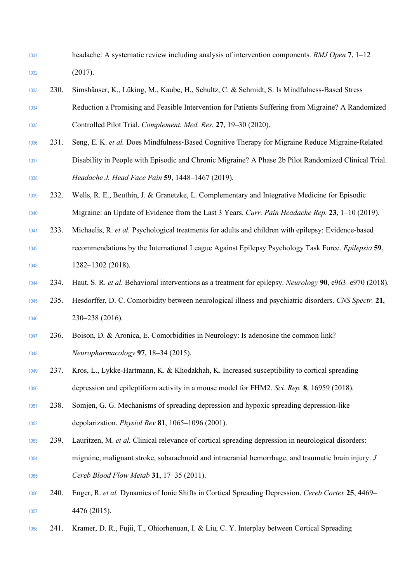headache: A systematic review including analysis of intervention components. *BMJ Open* **7**, 1–12 (2017).

- 230. Simshäuser, K., Lüking, M., Kaube, H., Schultz, C. & Schmidt, S. Is Mindfulness-Based Stress Reduction a Promising and Feasible Intervention for Patients Suffering from Migraine? A Randomized Controlled Pilot Trial. *Complement. Med. Res.* **27**, 19–30 (2020).
- 231. Seng, E. K. *et al.* Does Mindfulness-Based Cognitive Therapy for Migraine Reduce Migraine-Related Disability in People with Episodic and Chronic Migraine? A Phase 2b Pilot Randomized Clinical Trial. *Headache J. Head Face Pain* **59**, 1448–1467 (2019).
- 232. Wells, R. E., Beuthin, J. & Granetzke, L. Complementary and Integrative Medicine for Episodic Migraine: an Update of Evidence from the Last 3 Years. *Curr. Pain Headache Rep.* **23**, 1–10 (2019).
- 233. Michaelis, R. *et al.* Psychological treatments for adults and children with epilepsy: Evidence-based recommendations by the International League Against Epilepsy Psychology Task Force. *Epilepsia* **59**, 1282–1302 (2018).
- 234. Haut, S. R. *et al.* Behavioral interventions as a treatment for epilepsy. *Neurology* **90**, e963–e970 (2018).
- 235. Hesdorffer, D. C. Comorbidity between neurological illness and psychiatric disorders. *CNS Spectr.* **21**, 230–238 (2016).
- 236. Boison, D. & Aronica, E. Comorbidities in Neurology: Is adenosine the common link? *Neuropharmacology* **97**, 18–34 (2015).
- 237. Kros, L., Lykke-Hartmann, K. & Khodakhah, K. Increased susceptibility to cortical spreading depression and epileptiform activity in a mouse model for FHM2. *Sci. Rep.* **8**, 16959 (2018).
- 238. Somjen, G. G. Mechanisms of spreading depression and hypoxic spreading depression-like depolarization. *Physiol Rev* **81**, 1065–1096 (2001).
- 239. Lauritzen, M. *et al.* Clinical relevance of cortical spreading depression in neurological disorders: migraine, malignant stroke, subarachnoid and intracranial hemorrhage, and traumatic brain injury. *J Cereb Blood Flow Metab* **31**, 17–35 (2011).
- 240. Enger, R. *et al.* Dynamics of Ionic Shifts in Cortical Spreading Depression. *Cereb Cortex* **25**, 4469– 4476 (2015).
- 241. Kramer, D. R., Fujii, T., Ohiorhenuan, I. & Liu, C. Y. Interplay between Cortical Spreading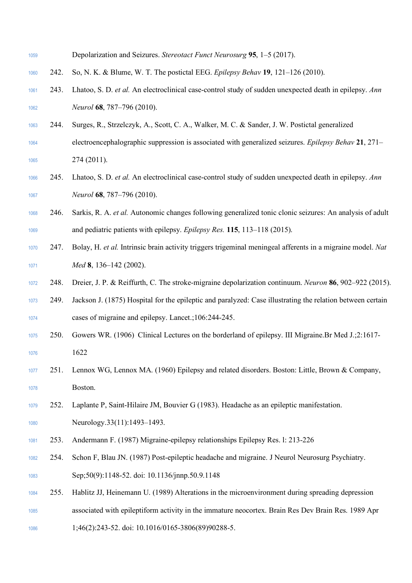| 1059 |      | Depolarization and Seizures. Stereotact Funct Neurosurg 95, 1–5 (2017).                                    |
|------|------|------------------------------------------------------------------------------------------------------------|
| 1060 | 242. | So, N. K. & Blume, W. T. The postictal EEG. Epilepsy Behav 19, 121-126 (2010).                             |
| 1061 | 243. | Lhatoo, S. D. et al. An electroclinical case-control study of sudden unexpected death in epilepsy. Ann     |
| 1062 |      | Neurol 68, 787-796 (2010).                                                                                 |
| 1063 | 244. | Surges, R., Strzelczyk, A., Scott, C. A., Walker, M. C. & Sander, J. W. Postictal generalized              |
| 1064 |      | electroencephalographic suppression is associated with generalized seizures. Epilepsy Behav 21, 271–       |
| 1065 |      | 274 (2011).                                                                                                |
| 1066 | 245. | Lhatoo, S. D. et al. An electroclinical case-control study of sudden unexpected death in epilepsy. Ann     |
| 1067 |      | Neurol 68, 787-796 (2010).                                                                                 |
| 1068 | 246. | Sarkis, R. A. et al. Autonomic changes following generalized tonic clonic seizures: An analysis of adult   |
| 1069 |      | and pediatric patients with epilepsy. Epilepsy Res. 115, 113-118 (2015).                                   |
| 1070 | 247. | Bolay, H. et al. Intrinsic brain activity triggers trigeminal meningeal afferents in a migraine model. Nat |
| 1071 |      | Med 8, 136-142 (2002).                                                                                     |
| 1072 | 248. | Dreier, J. P. & Reiffurth, C. The stroke-migraine depolarization continuum. Neuron 86, 902–922 (2015).     |
| 1073 | 249. | Jackson J. (1875) Hospital for the epileptic and paralyzed: Case illustrating the relation between certain |
| 1074 |      | cases of migraine and epilepsy. Lancet.; 106:244-245.                                                      |
| 1075 | 250. | Gowers WR. (1906) Clinical Lectures on the borderland of epilepsy. III Migraine. Br Med J.;2:1617-         |
| 1076 |      | 1622                                                                                                       |
| 1077 | 251. | Lennox WG, Lennox MA. (1960) Epilepsy and related disorders. Boston: Little, Brown & Company,              |
| 1078 |      | Boston.                                                                                                    |
| 1079 | 252. | Laplante P, Saint-Hilaire JM, Bouvier G (1983). Headache as an epileptic manifestation.                    |
| 1080 |      | Neurology.33(11):1493-1493.                                                                                |
| 1081 | 253. | Andermann F. (1987) Migraine-epilepsy relationships Epilepsy Res. l: 213-226                               |
| 1082 | 254. | Schon F, Blau JN. (1987) Post-epileptic headache and migraine. J Neurol Neurosurg Psychiatry.              |
| 1083 |      | Sep;50(9):1148-52. doi: 10.1136/jnnp.50.9.1148                                                             |
| 1084 | 255. | Hablitz JJ, Heinemann U. (1989) Alterations in the microenvironment during spreading depression            |
| 1085 |      | associated with epileptiform activity in the immature neocortex. Brain Res Dev Brain Res. 1989 Apr         |
| 1086 |      | 1;46(2):243-52. doi: 10.1016/0165-3806(89)90288-5.                                                         |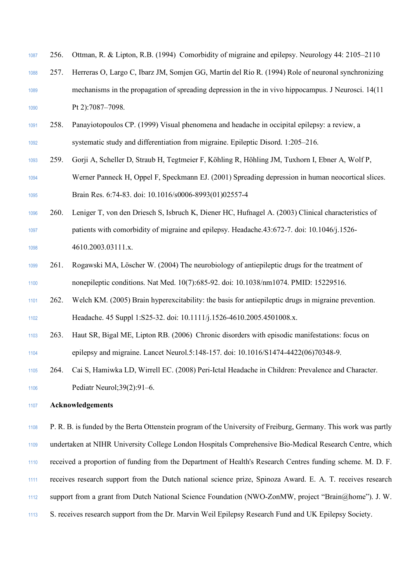| 1087 | 256. | Ottman, R. & Lipton, R.B. (1994) Comorbidity of migraine and epilepsy. Neurology 44: 2105–2110       |
|------|------|------------------------------------------------------------------------------------------------------|
| 1088 | 257. | Herreras O, Largo C, Ibarz JM, Somjen GG, Martín del Río R. (1994) Role of neuronal synchronizing    |
| 1089 |      | mechanisms in the propagation of spreading depression in the in vivo hippocampus. J Neurosci. 14(11) |
| 1090 |      | Pt 2):7087-7098.                                                                                     |
| 1091 | 258. | Panayiotopoulos CP. (1999) Visual phenomena and headache in occipital epilepsy: a review, a          |
| 1092 |      | systematic study and differentiation from migraine. Epileptic Disord. 1:205-216.                     |
| 1093 | 259. | Gorji A, Scheller D, Straub H, Tegtmeier F, Köhling R, Höhling JM, Tuxhorn I, Ebner A, Wolf P,       |
| 1094 |      | Werner Panneck H, Oppel F, Speckmann EJ. (2001) Spreading depression in human neocortical slices.    |
| 1095 |      | Brain Res. 6:74-83. doi: 10.1016/s0006-8993(01)02557-4                                               |
| 1096 | 260. | Leniger T, von den Driesch S, Isbruch K, Diener HC, Hufnagel A. (2003) Clinical characteristics of   |
| 1097 |      | patients with comorbidity of migraine and epilepsy. Headache.43:672-7. doi: 10.1046/j.1526-          |
| 1098 |      | 4610.2003.03111.x.                                                                                   |
| 1099 | 261. | Rogawski MA, Löscher W. (2004) The neurobiology of antiepileptic drugs for the treatment of          |
| 1100 |      | nonepileptic conditions. Nat Med. 10(7):685-92. doi: 10.1038/nm1074. PMID: 15229516.                 |
| 1101 | 262. | Welch KM. (2005) Brain hyperexcitability: the basis for antiepileptic drugs in migraine prevention.  |
| 1102 |      | Headache. 45 Suppl 1:S25-32. doi: 10.1111/j.1526-4610.2005.4501008.x.                                |
| 1103 | 263. | Haut SR, Bigal ME, Lipton RB. (2006) Chronic disorders with episodic manifestations: focus on        |
| 1104 |      | epilepsy and migraine. Lancet Neurol.5:148-157. doi: 10.1016/S1474-4422(06)70348-9.                  |
| 1105 | 264. | Cai S, Hamiwka LD, Wirrell EC. (2008) Peri-Ictal Headache in Children: Prevalence and Character.     |
| 1106 |      | Pediatr Neurol; 39(2): 91-6.                                                                         |
| 1107 |      | Acknowledgements                                                                                     |
|      |      |                                                                                                      |

 P. R. B. is funded by the Berta Ottenstein program of the University of Freiburg, Germany. This work was partly undertaken at NIHR University College London Hospitals Comprehensive Bio-Medical Research Centre, which received a proportion of funding from the Department of Health's Research Centres funding scheme. M. D. F. receives research support from the Dutch national science prize, Spinoza Award. E. A. T. receives research support from a grant from Dutch National Science Foundation (NWO-ZonMW, project "Brain@home"). J. W. 1113 S. receives research support from the Dr. Marvin Weil Epilepsy Research Fund and UK Epilepsy Society.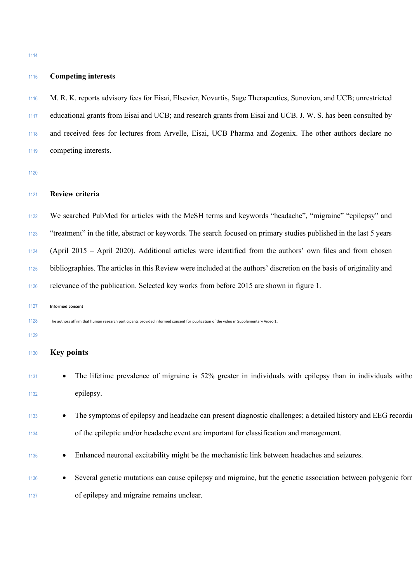#### **Competing interests**

 M. R. K. reports advisory fees for Eisai, Elsevier, Novartis, Sage Therapeutics, Sunovion, and UCB; unrestricted educational grants from Eisai and UCB; and research grants from Eisai and UCB. J. W. S. has been consulted by and received fees for lectures from Arvelle, Eisai, UCB Pharma and Zogenix. The other authors declare no competing interests.

# **Review criteria**

 We searched PubMed for articles with the MeSH terms and keywords "headache", "migraine" "epilepsy" and "treatment" in the title, abstract or keywords. The search focused on primary studies published in the last 5 years (April 2015 – April 2020). Additional articles were identified from the authors' own files and from chosen bibliographies. The articles in this Review were included at the authors' discretion on the basis of originality and relevance of the publication. Selected key works from before 2015 are shown in figure 1.

**Informed consent**

- The authors affirm that human research participants provided informed consent for publication of the video in Supplementary Video 1.
- 

# **Key points**

- <sup>1131</sup> The lifetime prevalence of migraine is 52% greater in individuals with epilepsy than in individuals without epilepsy.
- <sup>1133</sup> The symptoms of epilepsy and headache can present diagnostic challenges; a detailed history and EEG recording of the epileptic and/or headache event are important for classification and management.
- Enhanced neuronal excitability might be the mechanistic link between headaches and seizures.
- Several genetic mutations can cause epilepsy and migraine, but the genetic association between polygenic forms of epilepsy and migraine remains unclear.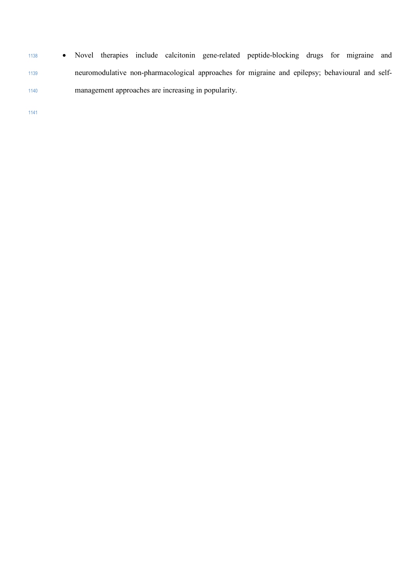• Novel therapies include calcitonin gene-related peptide-blocking drugs for migraine and neuromodulative non-pharmacological approaches for migraine and epilepsy; behavioural and self-management approaches are increasing in popularity.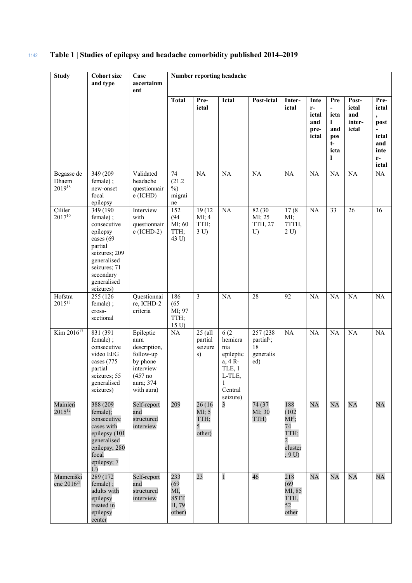# <sup>1142</sup> **Table 1 | Studies of epilepsy and headache comorbidity published 2014–2019**

| <b>Study</b>                        | <b>Cohort</b> size<br>and type                                                                                                                                       | Case<br>ascertainm<br>ent                                                                                     |                                                      |                                              | Number reporting headache                                                                                              |                                                               |                                                                           |                                               |                                                                     |                                          |                                                                |
|-------------------------------------|----------------------------------------------------------------------------------------------------------------------------------------------------------------------|---------------------------------------------------------------------------------------------------------------|------------------------------------------------------|----------------------------------------------|------------------------------------------------------------------------------------------------------------------------|---------------------------------------------------------------|---------------------------------------------------------------------------|-----------------------------------------------|---------------------------------------------------------------------|------------------------------------------|----------------------------------------------------------------|
|                                     |                                                                                                                                                                      |                                                                                                               | <b>Total</b>                                         | Pre-<br>ictal                                | Ictal                                                                                                                  | Post-ictal                                                    | Inter-<br>ictal                                                           | Inte<br>$r-$<br>ictal<br>and<br>pre-<br>ictal | Pre<br>$\overline{a}$<br>icta<br>1<br>and<br>pos<br>t-<br>icta<br>1 | Post-<br>ictal<br>and<br>inter-<br>ictal | Pre-<br>ictal<br>post<br>ictal<br>and<br>inte<br>$r-$<br>ictal |
| Begasse de<br>Dhaem<br>201918       | 349 (209)<br>female);<br>new-onset<br>focal<br>epilepsy                                                                                                              | Validated<br>headache<br>questionnair<br>$e$ (ICHD)                                                           | 74<br>(21.2)<br>$\frac{0}{0}$<br>migrai<br>ne        | NA                                           | <b>NA</b>                                                                                                              | NA                                                            | <b>NA</b>                                                                 | <b>NA</b>                                     | <b>NA</b>                                                           | <b>NA</b>                                | $\rm NA$                                                       |
| Cililer<br>201710                   | 349 (190)<br>female);<br>consecutive<br>epilepsy<br>cases $(69)$<br>partial<br>seizures; 209<br>generalised<br>seizures; 71<br>secondary<br>generalised<br>seizures) | Interview<br>with<br>questionnair<br>$e$ (ICHD-2)                                                             | 152<br>(94)<br>MI; 60<br>TTH;<br>43 U)               | 19(12)<br>$MI$ ; 4<br>TTH;<br>3 <sub>U</sub> | NA                                                                                                                     | 82 (30<br>MI; 25<br><b>TTH, 27</b><br>U                       | 17(8)<br>MI;<br>7TTH,<br>2 U                                              | <b>NA</b>                                     | 33                                                                  | 26                                       | 16                                                             |
| Hofstra<br>2015 <sup>13</sup>       | 255 (126)<br>female);<br>cross-<br>sectional                                                                                                                         | Questionnai<br>re, ICHD-2<br>criteria                                                                         | 186<br>(65)<br>MI; 97<br>TTH;<br>15 U)               | $\overline{3}$                               | <b>NA</b>                                                                                                              | 28                                                            | 92                                                                        | <b>NA</b>                                     | <b>NA</b>                                                           | <b>NA</b>                                | NA                                                             |
| Kim 2016 <sup>17</sup>              | 831 (391<br>female);<br>consecutive<br>video EEG<br>cases (775<br>partial<br>seizures; 55<br>generalised<br>seizures)                                                | Epileptic<br>aura<br>description,<br>follow-up<br>by phone<br>interview<br>(457 no<br>aura; 374<br>with aura) | NA                                                   | $25$ (all<br>partial<br>seizure<br>s)        | $\overline{6(2)}$<br>hemicra<br>nia<br>epileptic<br>a, 4 R-<br>TLE, 1<br>L-TLE,<br>$\mathbf{1}$<br>Central<br>seizure) | 257 (238)<br>partial <sup>b</sup> ;<br>18<br>generalis<br>ed) | <b>NA</b>                                                                 | NA                                            | <b>NA</b>                                                           | <b>NA</b>                                | NA                                                             |
| Mainieri<br>2015 <sup>12</sup>      | 388 (209<br>female);<br>consecutive<br>cases with<br>epilepsy (101<br>generalised<br>epilepsy; 280<br>focal<br>epilepsy; 7<br>U)                                     | Self-report<br>and<br>structured<br>interview                                                                 | 209                                                  | 26(16)<br>MI; 5<br>TTH;<br>5<br>other)       | $\mathfrak{Z}$                                                                                                         | 74 (37<br>MI; 30<br>TTH)                                      | 188<br>(102)<br>$MId$ ;<br>74<br>TTH;<br>$\overline{2}$<br>cluster<br>;9U | NA                                            | <b>NA</b>                                                           | NA                                       | NA                                                             |
| Mameniški<br>enė 2016 <sup>21</sup> | 289 (172<br>female);<br>adults with<br>epilepsy<br>treated in<br>epilepsy<br>center                                                                                  | Self-report<br>and<br>structured<br>interview                                                                 | 233<br>(69)<br>MI,<br><b>85TT</b><br>H, 79<br>other) | 23                                           | $\mathbf 1$                                                                                                            | 46                                                            | 218<br>(69)<br>MI, 85<br>TTH,<br>52<br>other                              | NA                                            | <b>NA</b>                                                           | NA                                       | <b>NA</b>                                                      |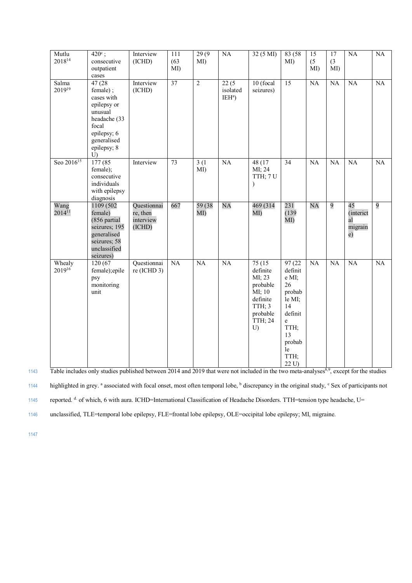| Mutlu<br>2018 <sup>14</sup> | $420^{\circ}$ ;<br>consecutive<br>outpatient<br>$\mbox{cases}$                                                                         | Interview<br>(ICHD)                            | 111<br>(63)<br>MI) | 29(9)<br>M <sub>1</sub> | NA                                    | 32 (5 MI)                                                                                                     | 83 (58)<br>MD                                                                                                             | 15<br>(5)<br>MD | 17<br>(3)<br>MD | NA                                            | NA              |
|-----------------------------|----------------------------------------------------------------------------------------------------------------------------------------|------------------------------------------------|--------------------|-------------------------|---------------------------------------|---------------------------------------------------------------------------------------------------------------|---------------------------------------------------------------------------------------------------------------------------|-----------------|-----------------|-----------------------------------------------|-----------------|
| Salma<br>201919             | 47 (28)<br>female);<br>cases with<br>epilepsy or<br>unusual<br>headache (33<br>focal<br>epilepsy; 6<br>generalised<br>epilepsy; 8<br>U | Interview<br>(ICHD)                            | 37                 | $\overline{2}$          | 22(5)<br>isolated<br>IEH <sup>a</sup> | 10 (focal<br>seizures)                                                                                        | $\overline{15}$                                                                                                           | NA              | NA              | $\overline{NA}$                               | $\overline{NA}$ |
| Seo 2016 <sup>15</sup>      | 177(85)<br>female);<br>consecutive<br>individuals<br>with epilepsy<br>diagnosis                                                        | Interview                                      | $\overline{73}$    | 3(1)<br>MD              | $\overline{NA}$                       | 48 (17)<br>MI; 24<br>TTH; 7 U<br>$\mathcal{E}$                                                                | $\overline{34}$                                                                                                           | $\overline{NA}$ | $\overline{NA}$ | $\overline{NA}$                               | $\overline{NA}$ |
| Wang<br>$2014^{11}$         | 1109(502)<br>female)<br>(856 partial<br>seizures; 195<br>generalised<br>seizures; 58<br>unclassified<br>seizures)                      | Questionnai<br>re, then<br>interview<br>(ICHD) | 667                | 59 (38)<br>MD           | <b>NA</b>                             | 469 (314<br>MD                                                                                                | 231<br>(139)<br>MI)                                                                                                       | <b>NA</b>       | 9               | 45<br><i>(interict</i><br>al<br>migrain<br>e) | 9               |
| Whealy<br>$2019^{16}$       | 120 (67)<br>female);epile<br>psy<br>monitoring<br>unit                                                                                 | Questionnai<br>$re$ (ICHD 3)                   | $\overline{NA}$    | $\overline{NA}$         | $\overline{NA}$                       | 75(15)<br>definite<br>MI; 23<br>probable<br>MI; 10<br>definite<br><b>TTH</b> ; 3<br>probable<br>TTH; 24<br>U) | 97(22)<br>definit<br>e MI;<br>26<br>probab<br>le MI;<br>14<br>definit<br>e<br>TTH;<br>13<br>probab<br>le<br>TTH;<br>22 U) | $\overline{NA}$ | $\overline{NA}$ | $\overline{NA}$                               | $\overline{NA}$ |

Table includes only studies published between 2014 and 2019 that were not included in the two meta-analyses<sup>8,9</sup>, except for the studies

highlighted in grey. <sup>a</sup> associated with focal onset, most often temporal lobe, <sup>b</sup> discrepancy in the original study, <sup>c</sup> Sex of participants not

1145 reported. d. of which, 6 with aura. ICHD=International Classification of Headache Disorders. TTH=tension type headache, U=

1146 unclassified, TLE=temporal lobe epilepsy, FLE=frontal lobe epilepsy, OLE=occipital lobe epilepsy; MI, migraine.

1147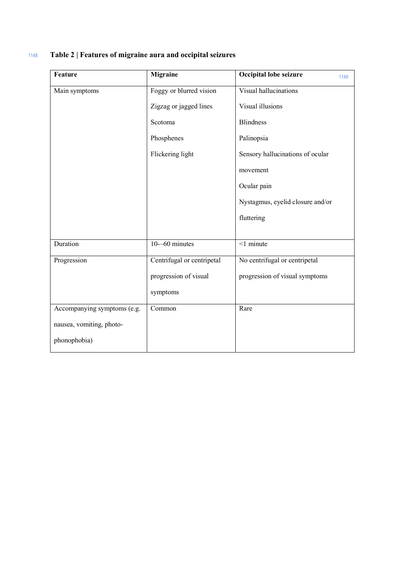# <sup>1148</sup> **Table 2 | Features of migraine aura and occipital seizures**

| Feature                     | Migraine                   | <b>Occipital lobe seizure</b>    | 1149 |
|-----------------------------|----------------------------|----------------------------------|------|
| Main symptoms               | Foggy or blurred vision    | Visual hallucinations            |      |
|                             | Zigzag or jagged lines     | Visual illusions                 |      |
|                             | Scotoma                    | <b>Blindness</b>                 |      |
|                             | Phosphenes                 | Palinopsia                       |      |
|                             | Flickering light           | Sensory hallucinations of ocular |      |
|                             |                            | movement                         |      |
|                             |                            | Ocular pain                      |      |
|                             |                            | Nystagmus, eyelid closure and/or |      |
|                             |                            | fluttering                       |      |
|                             |                            |                                  |      |
| Duration                    | $10 - 60$ minutes          | $<$ 1 minute                     |      |
| Progression                 | Centrifugal or centripetal | No centrifugal or centripetal    |      |
|                             | progression of visual      | progression of visual symptoms   |      |
|                             | symptoms                   |                                  |      |
| Accompanying symptoms (e.g. | Common                     | Rare                             |      |
| nausea, vomiting, photo-    |                            |                                  |      |
| phonophobia)                |                            |                                  |      |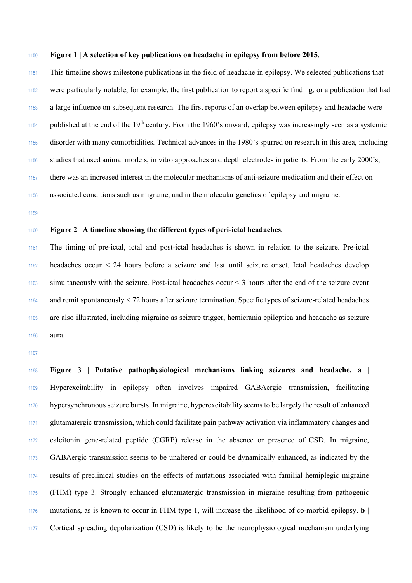#### **Figure 1 | A selection of key publications on headache in epilepsy from before 2015**.

 This timeline shows milestone publications in the field of headache in epilepsy. We selected publications that were particularly notable, for example, the first publication to report a specific finding, or a publication that had a large influence on subsequent research. The first reports of an overlap between epilepsy and headache were published at the end of the  $19<sup>th</sup>$  century. From the 1960's onward, epilepsy was increasingly seen as a systemic disorder with many comorbidities. Technical advances in the 1980's spurred on research in this area, including studies that used animal models, in vitro approaches and depth electrodes in patients. From the early 2000's, there was an increased interest in the molecular mechanisms of anti-seizure medication and their effect on associated conditions such as migraine, and in the molecular genetics of epilepsy and migraine.

# **Figure 2** | **A timeline showing the different types of peri-ictal headaches***.*

 The timing of pre-ictal, ictal and post-ictal headaches is shown in relation to the seizure. Pre-ictal headaches occur < 24 hours before a seizure and last until seizure onset. Ictal headaches develop simultaneously with the seizure. Post-ictal headaches occur < 3 hours after the end of the seizure event and remit spontaneously < 72 hours after seizure termination. Specific types of seizure-related headaches are also illustrated, including migraine as seizure trigger, hemicrania epileptica and headache as seizure aura.

 **Figure 3 | Putative pathophysiological mechanisms linking seizures and headache. a |** Hyperexcitability in epilepsy often involves impaired GABAergic transmission, facilitating hypersynchronous seizure bursts. In migraine, hyperexcitability seems to be largely the result of enhanced glutamatergic transmission, which could facilitate pain pathway activation via inflammatory changes and calcitonin gene-related peptide (CGRP) release in the absence or presence of CSD. In migraine, GABAergic transmission seems to be unaltered or could be dynamically enhanced, as indicated by the results of preclinical studies on the effects of mutations associated with familial hemiplegic migraine (FHM) type 3. Strongly enhanced glutamatergic transmission in migraine resulting from pathogenic mutations, as is known to occur in FHM type 1, will increase the likelihood of co-morbid epilepsy. **b |**  Cortical spreading depolarization (CSD) is likely to be the neurophysiological mechanism underlying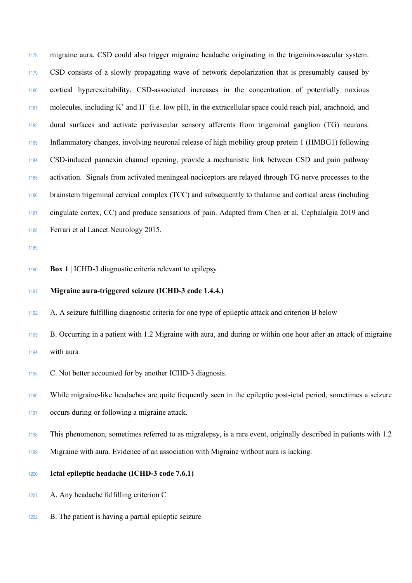migraine aura. CSD could also trigger migraine headache originating in the trigeminovascular system. CSD consists of a slowly propagating wave of network depolarization that is presumably caused by cortical hyperexcitability. CSD-associated increases in the concentration of potentially noxious molecules, including  $K^+$  and  $H^+$  (i.e. low pH), in the extracellular space could reach pial, arachnoid, and dural surfaces and activate perivascular sensory afferents from trigeminal ganglion (TG) neurons. Inflammatory changes, involving neuronal release of high mobility group protein 1 (HMBG1) following CSD-induced pannexin channel opening, provide a mechanistic link between CSD and pain pathway activation. Signals from activated meningeal nociceptors are relayed through TG nerve processes to the brainstem trigeminal cervical complex (TCC) and subsequently to thalamic and cortical areas (including cingulate cortex, CC) and produce sensations of pain. Adapted from Chen et al, Cephalalgia 2019 and Ferrari et al Lancet Neurology 2015.

- 
- **Box 1** | ICHD-3 diagnostic criteria relevant to epilepsy

# **Migraine aura-triggered seizure (ICHD-3 code 1.4.4.)**

- A. A seizure fulfilling diagnostic criteria for one type of epileptic attack and criterion B below
- B. Occurring in a patient with 1.2 Migraine with aura, and during or within one hour after an attack of migraine with aura
- C. Not better accounted for by another ICHD-3 diagnosis.

 While migraine-like headaches are quite frequently seen in the epileptic post-ictal period, sometimes a seizure occurs during or following a migraine attack.

- This phenomenon, sometimes referred to as migralepsy, is a rare event, originally described in patients with 1.2
- Migraine with aura. Evidence of an association with Migraine without aura is lacking.
- **Ictal epileptic headache (ICHD-3 code 7.6.1)**
- A. Any headache fulfilling criterion C
- B. The patient is having a partial epileptic seizure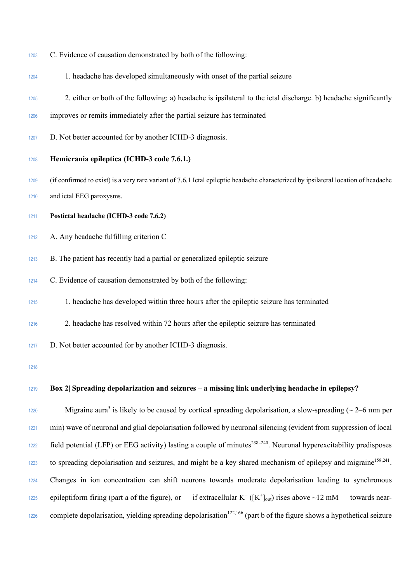- C. Evidence of causation demonstrated by both of the following:
- 1. headache has developed simultaneously with onset of the partial seizure
- 2. either or both of the following: a) headache is ipsilateral to the ictal discharge. b) headache significantly improves or remits immediately after the partial seizure has terminated
- D. Not better accounted for by another ICHD-3 diagnosis.

# **Hemicrania epileptica (ICHD-3 code 7.6.1.)**

- (if confirmed to exist) is a very rare variant of 7.6.1 Ictal epileptic headache characterized by ipsilateral location of headache and ictal EEG paroxysms.
- **Postictal headache (ICHD-3 code 7.6.2)**
- A. Any headache fulfilling criterion C
- B. The patient has recently had a partial or generalized epileptic seizure
- C. Evidence of causation demonstrated by both of the following:
- 1. headache has developed within three hours after the epileptic seizure has terminated
- 2. headache has resolved within 72 hours after the epileptic seizure has terminated
- D. Not better accounted for by another ICHD-3 diagnosis.
- 

# **Box 2| Spreading depolarization and seizures – a missing link underlying headache in epilepsy?**

Migraine aura<sup>5</sup> is likely to be caused by cortical spreading depolarisation, a slow-spreading ( $\sim$  2–6 mm per min) wave of neuronal and glial depolarisation followed by neuronal silencing (evident from suppression of local field potential (LFP) or EEG activity) lasting a couple of minutes<sup>238–240</sup>. Neuronal hyperexcitability predisposes to spreading depolarisation and seizures, and might be a key shared mechanism of epilepsy and migraine<sup>158,241</sup>. Changes in ion concentration can shift neurons towards moderate depolarisation leading to synchronous epileptiform firing (part a of the figure), or — if extracellular  $K^+$  ( $[K^+]_{out}$ ) rises above ~12 mM — towards nearcomplete depolarisation, yielding spreading depolarisation<sup>122,166</sup> (part b of the figure shows a hypothetical seizure